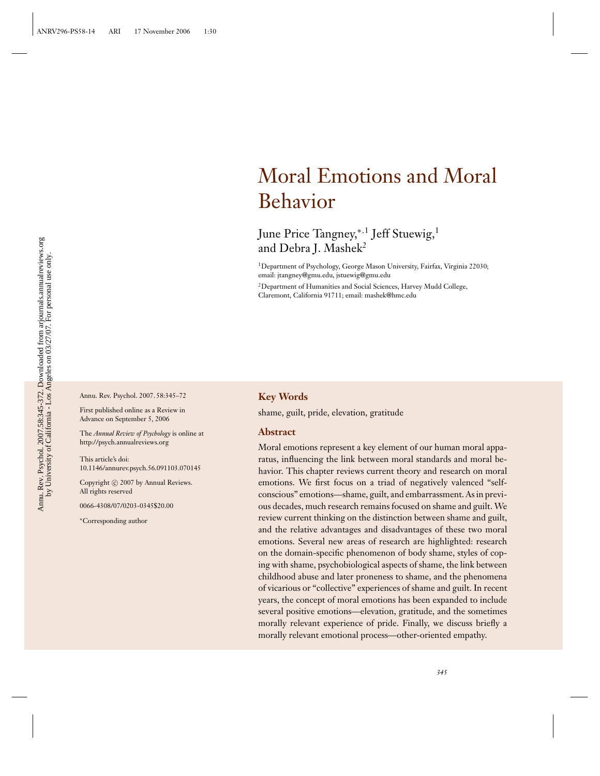# Moral Emotions and Moral Behavior

## June Price Tangney,∗,<sup>1</sup> Jeff Stuewig,1 and Debra J. Mashek<sup>2</sup>

<sup>1</sup>Department of Psychology, George Mason University, Fairfax, Virginia 22030; email: jtangney@gmu.edu, jstuewig@gmu.edu

2Department of Humanities and Social Sciences, Harvey Mudd College, Claremont, California 91711; email: mashek@hmc.edu

Annu. Rev. Psychol. 2007. 58:345–72

First published online as a Review in Advance on September 5, 2006

The *Annual Review of Psychology* is online at http://psych.annualreviews.org

This article's doi: 10.1146/annurev.psych.56.091103.070145

Copyright © 2007 by Annual Reviews. All rights reserved

0066-4308/07/0203-0345\$20.00

∗Corresponding author

#### **Key Words**

shame, guilt, pride, elevation, gratitude

#### **Abstract**

Moral emotions represent a key element of our human moral apparatus, influencing the link between moral standards and moral behavior. This chapter reviews current theory and research on moral emotions. We first focus on a triad of negatively valenced "selfconscious" emotions—shame, guilt, and embarrassment. As in previous decades, much research remains focused on shame and guilt. We review current thinking on the distinction between shame and guilt, and the relative advantages and disadvantages of these two moral emotions. Several new areas of research are highlighted: research on the domain-specific phenomenon of body shame, styles of coping with shame, psychobiological aspects of shame, the link between childhood abuse and later proneness to shame, and the phenomena of vicarious or "collective" experiences of shame and guilt. In recent years, the concept of moral emotions has been expanded to include several positive emotions—elevation, gratitude, and the sometimes morally relevant experience of pride. Finally, we discuss briefly a morally relevant emotional process—other-oriented empathy.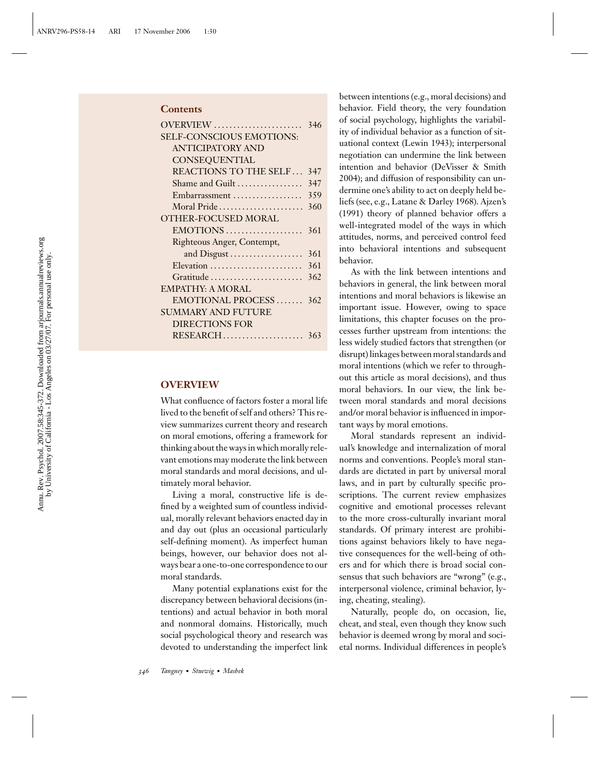#### **Contents**

| 346                          |
|------------------------------|
|                              |
|                              |
|                              |
| REACTIONS TO THE SELF<br>347 |
| 347                          |
| 359                          |
| 360                          |
|                              |
| 361                          |
|                              |
| 361                          |
| 361                          |
| 362                          |
|                              |
| EMOTIONAL PROCESS<br>362     |
|                              |
|                              |
|                              |
|                              |

#### **OVERVIEW**

What confluence of factors foster a moral life lived to the benefit of self and others? This review summarizes current theory and research on moral emotions, offering a framework for thinking about the ways in which morally relevant emotions may moderate the link between moral standards and moral decisions, and ultimately moral behavior.

Living a moral, constructive life is defined by a weighted sum of countless individual, morally relevant behaviors enacted day in and day out (plus an occasional particularly self-defining moment). As imperfect human beings, however, our behavior does not always bear a one-to-one correspondence to our moral standards.

Many potential explanations exist for the discrepancy between behavioral decisions (intentions) and actual behavior in both moral and nonmoral domains. Historically, much social psychological theory and research was devoted to understanding the imperfect link

between intentions (e.g., moral decisions) and behavior. Field theory, the very foundation of social psychology, highlights the variability of individual behavior as a function of situational context (Lewin 1943); interpersonal negotiation can undermine the link between intention and behavior (DeVisser & Smith 2004); and diffusion of responsibility can undermine one's ability to act on deeply held beliefs (see, e.g., Latane & Darley 1968). Ajzen's (1991) theory of planned behavior offers a well-integrated model of the ways in which attitudes, norms, and perceived control feed into behavioral intentions and subsequent behavior.

As with the link between intentions and behaviors in general, the link between moral intentions and moral behaviors is likewise an important issue. However, owing to space limitations, this chapter focuses on the processes further upstream from intentions: the less widely studied factors that strengthen (or disrupt) linkages between moral standards and moral intentions (which we refer to throughout this article as moral decisions), and thus moral behaviors. In our view, the link between moral standards and moral decisions and/or moral behavior is influenced in important ways by moral emotions.

Moral standards represent an individual's knowledge and internalization of moral norms and conventions. People's moral standards are dictated in part by universal moral laws, and in part by culturally specific proscriptions. The current review emphasizes cognitive and emotional processes relevant to the more cross-culturally invariant moral standards. Of primary interest are prohibitions against behaviors likely to have negative consequences for the well-being of others and for which there is broad social consensus that such behaviors are "wrong" (e.g., interpersonal violence, criminal behavior, lying, cheating, stealing).

Naturally, people do, on occasion, lie, cheat, and steal, even though they know such behavior is deemed wrong by moral and societal norms. Individual differences in people's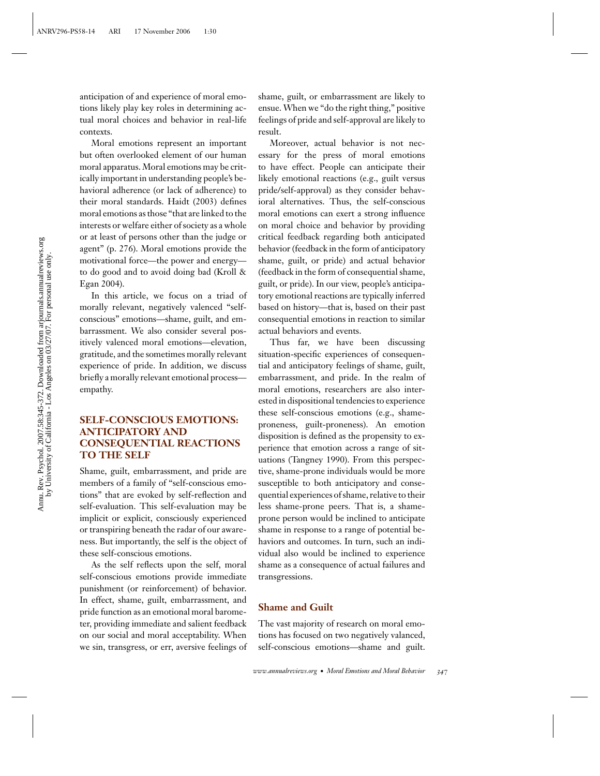anticipation of and experience of moral emotions likely play key roles in determining actual moral choices and behavior in real-life contexts.

Moral emotions represent an important but often overlooked element of our human moral apparatus. Moral emotions may be critically important in understanding people's behavioral adherence (or lack of adherence) to their moral standards. Haidt (2003) defines moral emotions as those "that are linked to the interests or welfare either of society as a whole or at least of persons other than the judge or agent" (p. 276). Moral emotions provide the motivational force—the power and energy to do good and to avoid doing bad (Kroll & Egan 2004).

In this article, we focus on a triad of morally relevant, negatively valenced "selfconscious" emotions—shame, guilt, and embarrassment. We also consider several positively valenced moral emotions—elevation, gratitude, and the sometimes morally relevant experience of pride. In addition, we discuss briefly a morally relevant emotional process empathy.

## **SELF-CONSCIOUS EMOTIONS: ANTICIPATORY AND CONSEQUENTIAL REACTIONS TO THE SELF**

Shame, guilt, embarrassment, and pride are members of a family of "self-conscious emotions" that are evoked by self-reflection and self-evaluation. This self-evaluation may be implicit or explicit, consciously experienced or transpiring beneath the radar of our awareness. But importantly, the self is the object of these self-conscious emotions.

As the self reflects upon the self, moral self-conscious emotions provide immediate punishment (or reinforcement) of behavior. In effect, shame, guilt, embarrassment, and pride function as an emotional moral barometer, providing immediate and salient feedback on our social and moral acceptability. When we sin, transgress, or err, aversive feelings of shame, guilt, or embarrassment are likely to ensue. When we "do the right thing," positive feelings of pride and self-approval are likely to result.

Moreover, actual behavior is not necessary for the press of moral emotions to have effect. People can anticipate their likely emotional reactions (e.g., guilt versus pride/self-approval) as they consider behavioral alternatives. Thus, the self-conscious moral emotions can exert a strong influence on moral choice and behavior by providing critical feedback regarding both anticipated behavior (feedback in the form of anticipatory shame, guilt, or pride) and actual behavior (feedback in the form of consequential shame, guilt, or pride). In our view, people's anticipatory emotional reactions are typically inferred based on history—that is, based on their past consequential emotions in reaction to similar actual behaviors and events.

Thus far, we have been discussing situation-specific experiences of consequential and anticipatory feelings of shame, guilt, embarrassment, and pride. In the realm of moral emotions, researchers are also interested in dispositional tendencies to experience these self-conscious emotions (e.g., shameproneness, guilt-proneness). An emotion disposition is defined as the propensity to experience that emotion across a range of situations (Tangney 1990). From this perspective, shame-prone individuals would be more susceptible to both anticipatory and consequential experiences of shame, relative to their less shame-prone peers. That is, a shameprone person would be inclined to anticipate shame in response to a range of potential behaviors and outcomes. In turn, such an individual also would be inclined to experience shame as a consequence of actual failures and transgressions.

#### **Shame and Guilt**

The vast majority of research on moral emotions has focused on two negatively valanced, self-conscious emotions—shame and guilt.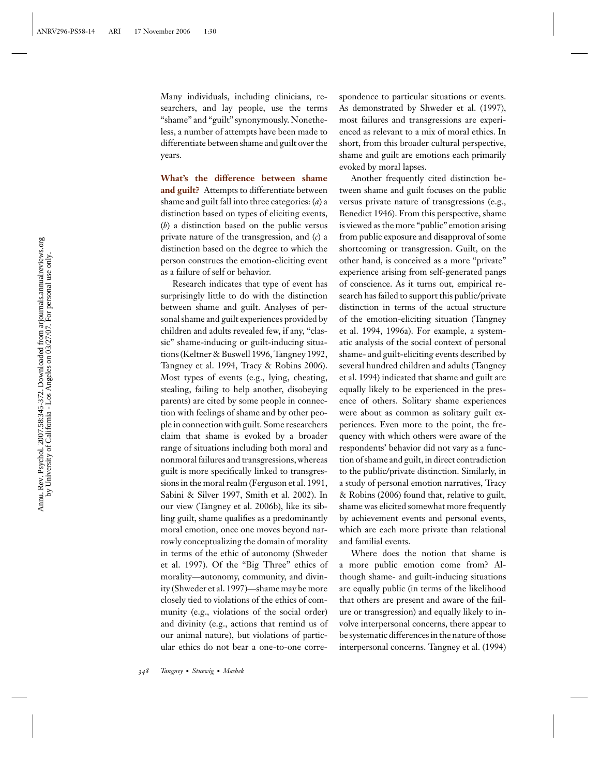Many individuals, including clinicians, researchers, and lay people, use the terms "shame" and "guilt" synonymously. Nonetheless, a number of attempts have been made to differentiate between shame and guilt over the years.

**What's the difference between shame and guilt?** Attempts to differentiate between shame and guilt fall into three categories: (*a*) a distinction based on types of eliciting events, (*b*) a distinction based on the public versus private nature of the transgression, and (*c*) a distinction based on the degree to which the person construes the emotion-eliciting event as a failure of self or behavior.

Research indicates that type of event has surprisingly little to do with the distinction between shame and guilt. Analyses of personal shame and guilt experiences provided by children and adults revealed few, if any, "classic" shame-inducing or guilt-inducing situations (Keltner & Buswell 1996, Tangney 1992, Tangney et al. 1994, Tracy & Robins 2006). Most types of events (e.g., lying, cheating, stealing, failing to help another, disobeying parents) are cited by some people in connection with feelings of shame and by other people in connection with guilt. Some researchers claim that shame is evoked by a broader range of situations including both moral and nonmoral failures and transgressions, whereas guilt is more specifically linked to transgressions in the moral realm (Ferguson et al. 1991, Sabini & Silver 1997, Smith et al. 2002). In our view (Tangney et al. 2006b), like its sibling guilt, shame qualifies as a predominantly moral emotion, once one moves beyond narrowly conceptualizing the domain of morality in terms of the ethic of autonomy (Shweder et al. 1997). Of the "Big Three" ethics of morality—autonomy, community, and divinity (Shweder et al. 1997)—shame may be more closely tied to violations of the ethics of community (e.g., violations of the social order) and divinity (e.g., actions that remind us of our animal nature), but violations of particular ethics do not bear a one-to-one correspondence to particular situations or events. As demonstrated by Shweder et al. (1997), most failures and transgressions are experienced as relevant to a mix of moral ethics. In short, from this broader cultural perspective, shame and guilt are emotions each primarily evoked by moral lapses.

Another frequently cited distinction between shame and guilt focuses on the public versus private nature of transgressions (e.g., Benedict 1946). From this perspective, shame is viewed as the more "public" emotion arising from public exposure and disapproval of some shortcoming or transgression. Guilt, on the other hand, is conceived as a more "private" experience arising from self-generated pangs of conscience. As it turns out, empirical research has failed to support this public/private distinction in terms of the actual structure of the emotion-eliciting situation (Tangney et al. 1994, 1996a). For example, a systematic analysis of the social context of personal shame- and guilt-eliciting events described by several hundred children and adults (Tangney et al. 1994) indicated that shame and guilt are equally likely to be experienced in the presence of others. Solitary shame experiences were about as common as solitary guilt experiences. Even more to the point, the frequency with which others were aware of the respondents' behavior did not vary as a function of shame and guilt, in direct contradiction to the public/private distinction. Similarly, in a study of personal emotion narratives, Tracy & Robins (2006) found that, relative to guilt, shame was elicited somewhat more frequently by achievement events and personal events, which are each more private than relational and familial events.

Where does the notion that shame is a more public emotion come from? Although shame- and guilt-inducing situations are equally public (in terms of the likelihood that others are present and aware of the failure or transgression) and equally likely to involve interpersonal concerns, there appear to be systematic differences in the nature of those interpersonal concerns. Tangney et al. (1994)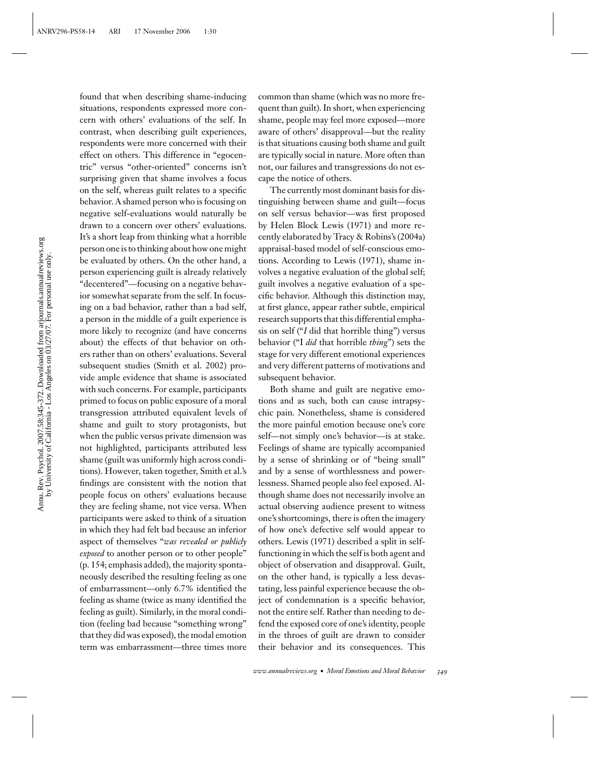found that when describing shame-inducing situations, respondents expressed more concern with others' evaluations of the self. In contrast, when describing guilt experiences, respondents were more concerned with their effect on others. This difference in "egocentric" versus "other-oriented" concerns isn't surprising given that shame involves a focus on the self, whereas guilt relates to a specific behavior. A shamed person who is focusing on negative self-evaluations would naturally be drawn to a concern over others' evaluations. It's a short leap from thinking what a horrible person one is to thinking about how one might be evaluated by others. On the other hand, a person experiencing guilt is already relatively "decentered"—focusing on a negative behavior somewhat separate from the self. In focusing on a bad behavior, rather than a bad self, a person in the middle of a guilt experience is more likely to recognize (and have concerns about) the effects of that behavior on others rather than on others' evaluations. Several subsequent studies (Smith et al. 2002) provide ample evidence that shame is associated with such concerns. For example, participants primed to focus on public exposure of a moral transgression attributed equivalent levels of shame and guilt to story protagonists, but when the public versus private dimension was not highlighted, participants attributed less shame (guilt was uniformly high across conditions). However, taken together, Smith et al.'s findings are consistent with the notion that people focus on others' evaluations because they are feeling shame, not vice versa. When participants were asked to think of a situation in which they had felt bad because an inferior aspect of themselves "*was revealed or publicly exposed* to another person or to other people" (p. 154; emphasis added), the majority spontaneously described the resulting feeling as one of embarrassment—only 6.7% identified the feeling as shame (twice as many identified the feeling as guilt). Similarly, in the moral condition (feeling bad because "something wrong" that they did was exposed), the modal emotion term was embarrassment—three times more

common than shame (which was no more frequent than guilt). In short, when experiencing shame, people may feel more exposed—more aware of others' disapproval—but the reality is that situations causing both shame and guilt are typically social in nature. More often than not, our failures and transgressions do not escape the notice of others.

The currently most dominant basis for distinguishing between shame and guilt—focus on self versus behavior—was first proposed by Helen Block Lewis (1971) and more recently elaborated by Tracy & Robins's (2004a) appraisal-based model of self-conscious emotions. According to Lewis (1971), shame involves a negative evaluation of the global self; guilt involves a negative evaluation of a specific behavior. Although this distinction may, at first glance, appear rather subtle, empirical research supports that this differential emphasis on self ("*I* did that horrible thing") versus behavior ("I *did* that horrible *thing*") sets the stage for very different emotional experiences and very different patterns of motivations and subsequent behavior.

Both shame and guilt are negative emotions and as such, both can cause intrapsychic pain. Nonetheless, shame is considered the more painful emotion because one's core self—not simply one's behavior—is at stake. Feelings of shame are typically accompanied by a sense of shrinking or of "being small" and by a sense of worthlessness and powerlessness. Shamed people also feel exposed. Although shame does not necessarily involve an actual observing audience present to witness one's shortcomings, there is often the imagery of how one's defective self would appear to others. Lewis (1971) described a split in selffunctioning in which the self is both agent and object of observation and disapproval. Guilt, on the other hand, is typically a less devastating, less painful experience because the object of condemnation is a specific behavior, not the entire self. Rather than needing to defend the exposed core of one's identity, people in the throes of guilt are drawn to consider their behavior and its consequences. This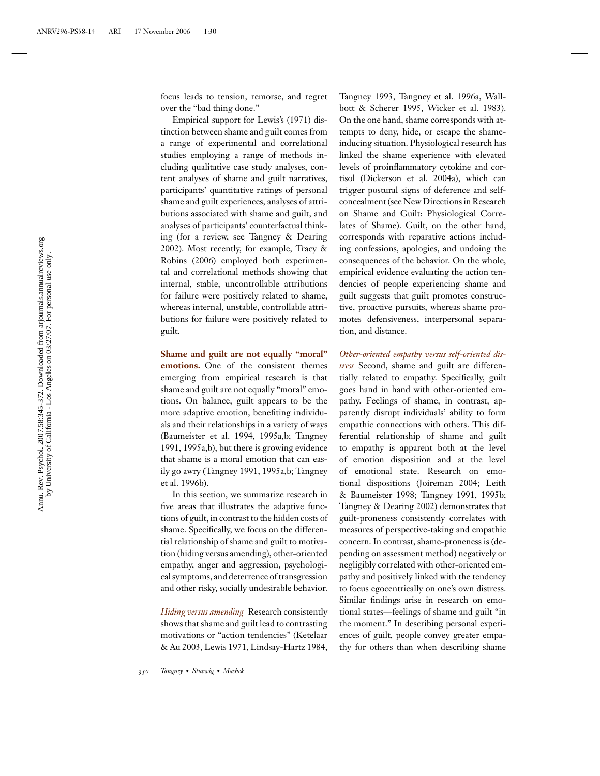focus leads to tension, remorse, and regret over the "bad thing done."

Empirical support for Lewis's (1971) distinction between shame and guilt comes from a range of experimental and correlational studies employing a range of methods including qualitative case study analyses, content analyses of shame and guilt narratives, participants' quantitative ratings of personal shame and guilt experiences, analyses of attributions associated with shame and guilt, and analyses of participants' counterfactual thinking (for a review, see Tangney & Dearing 2002). Most recently, for example, Tracy & Robins (2006) employed both experimental and correlational methods showing that internal, stable, uncontrollable attributions for failure were positively related to shame, whereas internal, unstable, controllable attributions for failure were positively related to guilt.

**Shame and guilt are not equally "moral" emotions.** One of the consistent themes emerging from empirical research is that shame and guilt are not equally "moral" emotions. On balance, guilt appears to be the more adaptive emotion, benefiting individuals and their relationships in a variety of ways (Baumeister et al. 1994, 1995a,b; Tangney 1991, 1995a,b), but there is growing evidence that shame is a moral emotion that can easily go awry (Tangney 1991, 1995a,b; Tangney et al. 1996b).

In this section, we summarize research in five areas that illustrates the adaptive functions of guilt, in contrast to the hidden costs of shame. Specifically, we focus on the differential relationship of shame and guilt to motivation (hiding versus amending), other-oriented empathy, anger and aggression, psychological symptoms, and deterrence of transgression and other risky, socially undesirable behavior.

*Hiding versus amending* Research consistently shows that shame and guilt lead to contrasting motivations or "action tendencies" (Ketelaar & Au 2003, Lewis 1971, Lindsay-Hartz 1984,

Tangney 1993, Tangney et al. 1996a, Wallbott & Scherer 1995, Wicker et al. 1983). On the one hand, shame corresponds with attempts to deny, hide, or escape the shameinducing situation. Physiological research has linked the shame experience with elevated levels of proinflammatory cytokine and cortisol (Dickerson et al. 2004a), which can trigger postural signs of deference and selfconcealment (see New Directions in Research on Shame and Guilt: Physiological Correlates of Shame). Guilt, on the other hand, corresponds with reparative actions including confessions, apologies, and undoing the consequences of the behavior. On the whole, empirical evidence evaluating the action tendencies of people experiencing shame and guilt suggests that guilt promotes constructive, proactive pursuits, whereas shame promotes defensiveness, interpersonal separation, and distance.

*Other-oriented empathy versus self-oriented distress* Second, shame and guilt are differentially related to empathy. Specifically, guilt goes hand in hand with other-oriented empathy. Feelings of shame, in contrast, apparently disrupt individuals' ability to form empathic connections with others. This differential relationship of shame and guilt to empathy is apparent both at the level of emotion disposition and at the level of emotional state. Research on emotional dispositions (Joireman 2004; Leith & Baumeister 1998; Tangney 1991, 1995b; Tangney & Dearing 2002) demonstrates that guilt-proneness consistently correlates with measures of perspective-taking and empathic concern. In contrast, shame-proneness is (depending on assessment method) negatively or negligibly correlated with other-oriented empathy and positively linked with the tendency to focus egocentrically on one's own distress. Similar findings arise in research on emotional states—feelings of shame and guilt "in the moment." In describing personal experiences of guilt, people convey greater empathy for others than when describing shame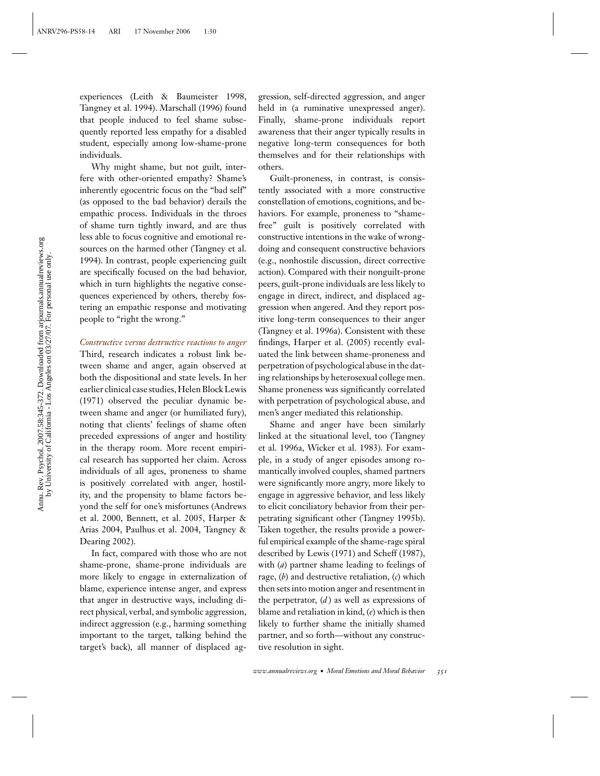experiences (Leith & Baumeister 1998, Tangney et al. 1994). Marschall (1996) found that people induced to feel shame subsequently reported less empathy for a disabled student, especially among low-shame-prone individuals.

Why might shame, but not guilt, interfere with other-oriented empathy? Shame's inherently egocentric focus on the "bad self" (as opposed to the bad behavior) derails the empathic process. Individuals in the throes of shame turn tightly inward, and are thus less able to focus cognitive and emotional resources on the harmed other (Tangney et al. 1994). In contrast, people experiencing guilt are specifically focused on the bad behavior, which in turn highlights the negative consequences experienced by others, thereby fostering an empathic response and motivating people to "right the wrong."

#### *Constructive versus destructive reactions to anger*

Third, research indicates a robust link between shame and anger, again observed at both the dispositional and state levels. In her earlier clinical case studies, Helen Block Lewis (1971) observed the peculiar dynamic between shame and anger (or humiliated fury), noting that clients' feelings of shame often preceded expressions of anger and hostility in the therapy room. More recent empirical research has supported her claim. Across individuals of all ages, proneness to shame is positively correlated with anger, hostility, and the propensity to blame factors beyond the self for one's misfortunes (Andrews et al. 2000, Bennett, et al. 2005, Harper & Arias 2004, Paulhus et al. 2004, Tangney & Dearing 2002).

In fact, compared with those who are not shame-prone, shame-prone individuals are more likely to engage in externalization of blame, experience intense anger, and express that anger in destructive ways, including direct physical, verbal, and symbolic aggression, indirect aggression (e.g., harming something important to the target, talking behind the target's back), all manner of displaced aggression, self-directed aggression, and anger held in (a ruminative unexpressed anger). Finally, shame-prone individuals report awareness that their anger typically results in negative long-term consequences for both themselves and for their relationships with others.

Guilt-proneness, in contrast, is consistently associated with a more constructive constellation of emotions, cognitions, and behaviors. For example, proneness to "shamefree" guilt is positively correlated with constructive intentions in the wake of wrongdoing and consequent constructive behaviors (e.g., nonhostile discussion, direct corrective action). Compared with their nonguilt-prone peers, guilt-prone individuals are less likely to engage in direct, indirect, and displaced aggression when angered. And they report positive long-term consequences to their anger (Tangney et al. 1996a). Consistent with these findings, Harper et al. (2005) recently evaluated the link between shame-proneness and perpetration of psychological abuse in the dating relationships by heterosexual college men. Shame proneness was significantly correlated with perpetration of psychological abuse, and men's anger mediated this relationship.

Shame and anger have been similarly linked at the situational level, too (Tangney et al. 1996a, Wicker et al. 1983). For example, in a study of anger episodes among romantically involved couples, shamed partners were significantly more angry, more likely to engage in aggressive behavior, and less likely to elicit conciliatory behavior from their perpetrating significant other (Tangney 1995b). Taken together, the results provide a powerful empirical example of the shame-rage spiral described by Lewis (1971) and Scheff (1987), with (*a*) partner shame leading to feelings of rage, (*b*) and destructive retaliation, (*c*) which then sets into motion anger and resentment in the perpetrator,  $(d)$  as well as expressions of blame and retaliation in kind, (*e*) which is then likely to further shame the initially shamed partner, and so forth—without any constructive resolution in sight.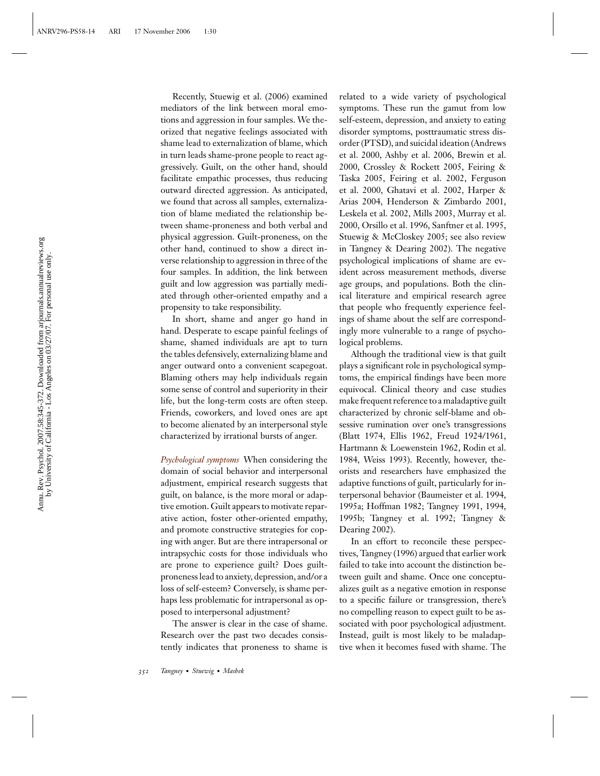Recently, Stuewig et al. (2006) examined mediators of the link between moral emotions and aggression in four samples. We theorized that negative feelings associated with shame lead to externalization of blame, which in turn leads shame-prone people to react aggressively. Guilt, on the other hand, should facilitate empathic processes, thus reducing outward directed aggression. As anticipated, we found that across all samples, externalization of blame mediated the relationship between shame-proneness and both verbal and physical aggression. Guilt-proneness, on the other hand, continued to show a direct inverse relationship to aggression in three of the four samples. In addition, the link between guilt and low aggression was partially mediated through other-oriented empathy and a propensity to take responsibility.

In short, shame and anger go hand in hand. Desperate to escape painful feelings of shame, shamed individuals are apt to turn the tables defensively, externalizing blame and anger outward onto a convenient scapegoat. Blaming others may help individuals regain some sense of control and superiority in their life, but the long-term costs are often steep. Friends, coworkers, and loved ones are apt to become alienated by an interpersonal style characterized by irrational bursts of anger.

*Psychological symptoms* When considering the domain of social behavior and interpersonal adjustment, empirical research suggests that guilt, on balance, is the more moral or adaptive emotion. Guilt appears to motivate reparative action, foster other-oriented empathy, and promote constructive strategies for coping with anger. But are there intrapersonal or intrapsychic costs for those individuals who are prone to experience guilt? Does guiltproneness lead to anxiety, depression, and/or a loss of self-esteem? Conversely, is shame perhaps less problematic for intrapersonal as opposed to interpersonal adjustment?

The answer is clear in the case of shame. Research over the past two decades consistently indicates that proneness to shame is related to a wide variety of psychological symptoms. These run the gamut from low self-esteem, depression, and anxiety to eating disorder symptoms, posttraumatic stress disorder (PTSD), and suicidal ideation (Andrews et al. 2000, Ashby et al. 2006, Brewin et al. 2000, Crossley & Rockett 2005, Feiring & Taska 2005, Feiring et al. 2002, Ferguson et al. 2000, Ghatavi et al. 2002, Harper & Arias 2004, Henderson & Zimbardo 2001, Leskela et al. 2002, Mills 2003, Murray et al. 2000, Orsillo et al. 1996, Sanftner et al. 1995, Stuewig & McCloskey 2005; see also review in Tangney & Dearing 2002). The negative psychological implications of shame are evident across measurement methods, diverse age groups, and populations. Both the clinical literature and empirical research agree that people who frequently experience feelings of shame about the self are correspondingly more vulnerable to a range of psychological problems.

Although the traditional view is that guilt plays a significant role in psychological symptoms, the empirical findings have been more equivocal. Clinical theory and case studies make frequent reference to a maladaptive guilt characterized by chronic self-blame and obsessive rumination over one's transgressions (Blatt 1974, Ellis 1962, Freud 1924/1961, Hartmann & Loewenstein 1962, Rodin et al. 1984, Weiss 1993). Recently, however, theorists and researchers have emphasized the adaptive functions of guilt, particularly for interpersonal behavior (Baumeister et al. 1994, 1995a; Hoffman 1982; Tangney 1991, 1994, 1995b; Tangney et al. 1992; Tangney & Dearing 2002).

In an effort to reconcile these perspectives, Tangney (1996) argued that earlier work failed to take into account the distinction between guilt and shame. Once one conceptualizes guilt as a negative emotion in response to a specific failure or transgression, there's no compelling reason to expect guilt to be associated with poor psychological adjustment. Instead, guilt is most likely to be maladaptive when it becomes fused with shame. The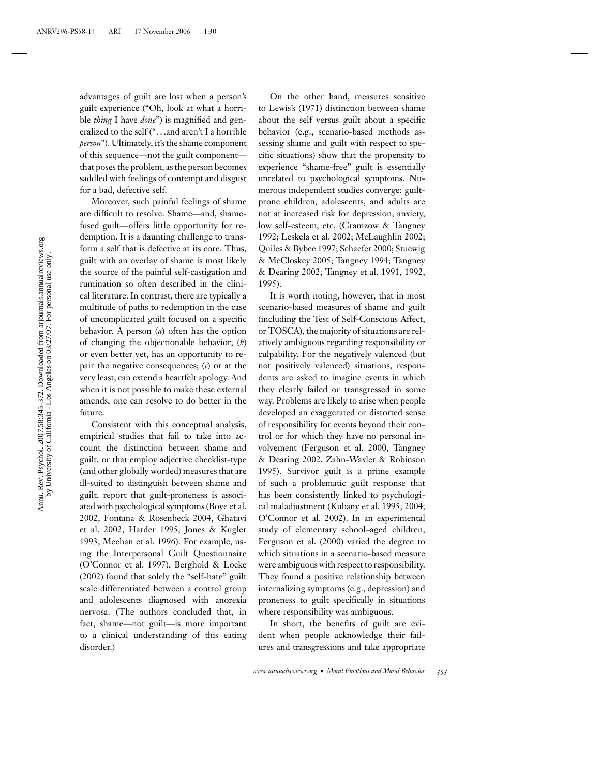advantages of guilt are lost when a person's guilt experience ("Oh, look at what a horrible *thing* I have *done*") is magnified and generalized to the self ("...and aren't I a horrible *person*"). Ultimately, it's the shame component of this sequence—not the guilt component that poses the problem, as the person becomes saddled with feelings of contempt and disgust for a bad, defective self.

Moreover, such painful feelings of shame are difficult to resolve. Shame—and, shamefused guilt—offers little opportunity for redemption. It is a daunting challenge to transform a self that is defective at its core. Thus, guilt with an overlay of shame is most likely the source of the painful self-castigation and rumination so often described in the clinical literature. In contrast, there are typically a multitude of paths to redemption in the case of uncomplicated guilt focused on a specific behavior. A person (*a*) often has the option of changing the objectionable behavior; (*b*) or even better yet, has an opportunity to repair the negative consequences; (*c*) or at the very least, can extend a heartfelt apology. And when it is not possible to make these external amends, one can resolve to do better in the future.

Consistent with this conceptual analysis, empirical studies that fail to take into account the distinction between shame and guilt, or that employ adjective checklist-type (and other globally worded) measures that are ill-suited to distinguish between shame and guilt, report that guilt-proneness is associated with psychological symptoms (Boye et al. 2002, Fontana & Rosenbeck 2004, Ghatavi et al. 2002, Harder 1995, Jones & Kugler 1993, Meehan et al. 1996). For example, using the Interpersonal Guilt Questionnaire (O'Connor et al. 1997), Berghold & Locke (2002) found that solely the "self-hate" guilt scale differentiated between a control group and adolescents diagnosed with anorexia nervosa. (The authors concluded that, in fact, shame—not guilt—is more important to a clinical understanding of this eating disorder.)

On the other hand, measures sensitive to Lewis's (1971) distinction between shame about the self versus guilt about a specific behavior (e.g., scenario-based methods assessing shame and guilt with respect to specific situations) show that the propensity to experience "shame-free" guilt is essentially unrelated to psychological symptoms. Numerous independent studies converge: guiltprone children, adolescents, and adults are not at increased risk for depression, anxiety, low self-esteem, etc. (Gramzow & Tangney 1992; Leskela et al. 2002; McLaughlin 2002; Quiles & Bybee 1997; Schaefer 2000; Stuewig & McCloskey 2005; Tangney 1994; Tangney & Dearing 2002; Tangney et al. 1991, 1992, 1995).

It is worth noting, however, that in most scenario-based measures of shame and guilt (including the Test of Self-Conscious Affect, or TOSCA), the majority of situations are relatively ambiguous regarding responsibility or culpability. For the negatively valenced (but not positively valenced) situations, respondents are asked to imagine events in which they clearly failed or transgressed in some way. Problems are likely to arise when people developed an exaggerated or distorted sense of responsibility for events beyond their control or for which they have no personal involvement (Ferguson et al. 2000, Tangney & Dearing 2002, Zahn-Waxler & Robinson 1995). Survivor guilt is a prime example of such a problematic guilt response that has been consistently linked to psychological maladjustment (Kubany et al. 1995, 2004; O'Connor et al. 2002). In an experimental study of elementary school–aged children, Ferguson et al. (2000) varied the degree to which situations in a scenario-based measure were ambiguous with respect to responsibility. They found a positive relationship between internalizing symptoms (e.g., depression) and proneness to guilt specifically in situations where responsibility was ambiguous.

In short, the benefits of guilt are evident when people acknowledge their failures and transgressions and take appropriate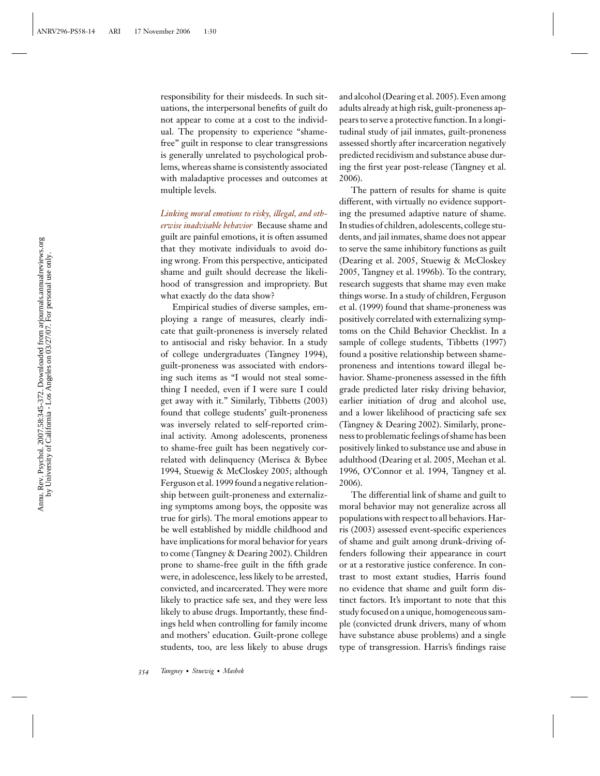responsibility for their misdeeds. In such situations, the interpersonal benefits of guilt do not appear to come at a cost to the individual. The propensity to experience "shamefree" guilt in response to clear transgressions is generally unrelated to psychological problems, whereas shame is consistently associated with maladaptive processes and outcomes at multiple levels.

*Linking moral emotions to risky, illegal, and otherwise inadvisable behavior* Because shame and guilt are painful emotions, it is often assumed that they motivate individuals to avoid doing wrong. From this perspective, anticipated shame and guilt should decrease the likelihood of transgression and impropriety. But what exactly do the data show?

Empirical studies of diverse samples, employing a range of measures, clearly indicate that guilt-proneness is inversely related to antisocial and risky behavior. In a study of college undergraduates (Tangney 1994), guilt-proneness was associated with endorsing such items as "I would not steal something I needed, even if I were sure I could get away with it." Similarly, Tibbetts (2003) found that college students' guilt-proneness was inversely related to self-reported criminal activity. Among adolescents, proneness to shame-free guilt has been negatively correlated with delinquency (Merisca & Bybee 1994, Stuewig & McCloskey 2005; although Ferguson et al. 1999 found a negative relationship between guilt-proneness and externalizing symptoms among boys, the opposite was true for girls). The moral emotions appear to be well established by middle childhood and have implications for moral behavior for years to come (Tangney & Dearing 2002). Children prone to shame-free guilt in the fifth grade were, in adolescence, less likely to be arrested, convicted, and incarcerated. They were more likely to practice safe sex, and they were less likely to abuse drugs. Importantly, these findings held when controlling for family income and mothers' education. Guilt-prone college students, too, are less likely to abuse drugs and alcohol (Dearing et al. 2005). Even among adults already at high risk, guilt-proneness appears to serve a protective function. In a longitudinal study of jail inmates, guilt-proneness assessed shortly after incarceration negatively predicted recidivism and substance abuse during the first year post-release (Tangney et al. 2006).

The pattern of results for shame is quite different, with virtually no evidence supporting the presumed adaptive nature of shame. In studies of children, adolescents, college students, and jail inmates, shame does not appear to serve the same inhibitory functions as guilt (Dearing et al. 2005, Stuewig & McCloskey 2005, Tangney et al. 1996b). To the contrary, research suggests that shame may even make things worse. In a study of children, Ferguson et al. (1999) found that shame-proneness was positively correlated with externalizing symptoms on the Child Behavior Checklist. In a sample of college students, Tibbetts (1997) found a positive relationship between shameproneness and intentions toward illegal behavior. Shame-proneness assessed in the fifth grade predicted later risky driving behavior, earlier initiation of drug and alcohol use, and a lower likelihood of practicing safe sex (Tangney & Dearing 2002). Similarly, proneness to problematic feelings of shame has been positively linked to substance use and abuse in adulthood (Dearing et al. 2005, Meehan et al. 1996, O'Connor et al. 1994, Tangney et al. 2006).

The differential link of shame and guilt to moral behavior may not generalize across all populations with respect to all behaviors. Harris (2003) assessed event-specific experiences of shame and guilt among drunk-driving offenders following their appearance in court or at a restorative justice conference. In contrast to most extant studies, Harris found no evidence that shame and guilt form distinct factors. It's important to note that this study focused on a unique, homogeneous sample (convicted drunk drivers, many of whom have substance abuse problems) and a single type of transgression. Harris's findings raise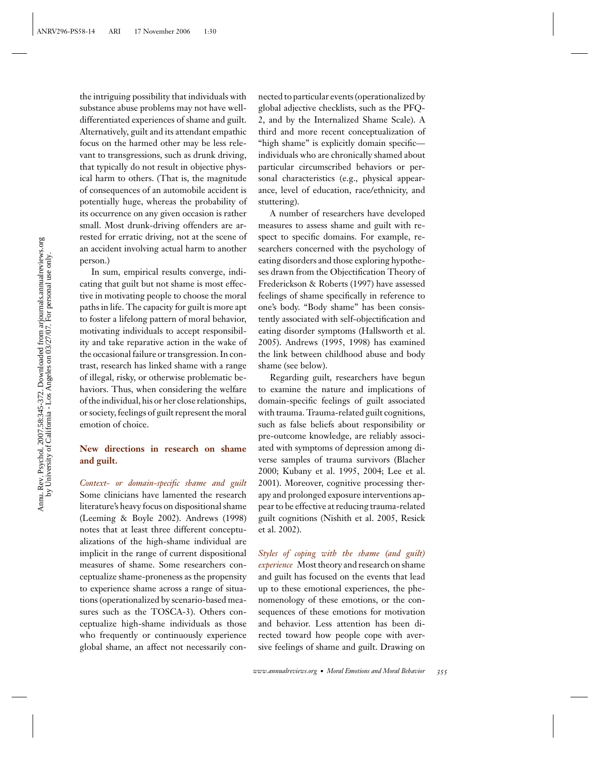substance abuse problems may not have welldifferentiated experiences of shame and guilt. Alternatively, guilt and its attendant empathic focus on the harmed other may be less relevant to transgressions, such as drunk driving, that typically do not result in objective physical harm to others. (That is, the magnitude of consequences of an automobile accident is potentially huge, whereas the probability of its occurrence on any given occasion is rather small. Most drunk-driving offenders are arrested for erratic driving, not at the scene of an accident involving actual harm to another person.) In sum, empirical results converge, indi-

cating that guilt but not shame is most effective in motivating people to choose the moral paths in life. The capacity for guilt is more apt to foster a lifelong pattern of moral behavior, motivating individuals to accept responsibility and take reparative action in the wake of the occasional failure or transgression. In contrast, research has linked shame with a range of illegal, risky, or otherwise problematic behaviors. Thus, when considering the welfare of the individual, his or her close relationships, or society, feelings of guilt represent the moral emotion of choice.

the intriguing possibility that individuals with

## **New directions in research on shame and guilt.**

*Context- or domain-specific shame and guilt* Some clinicians have lamented the research literature's heavy focus on dispositional shame (Leeming & Boyle 2002). Andrews (1998) notes that at least three different conceptualizations of the high-shame individual are implicit in the range of current dispositional measures of shame. Some researchers conceptualize shame-proneness as the propensity to experience shame across a range of situations (operationalized by scenario-based measures such as the TOSCA-3). Others conceptualize high-shame individuals as those who frequently or continuously experience global shame, an affect not necessarily connected to particular events (operationalized by global adjective checklists, such as the PFQ-2, and by the Internalized Shame Scale). A third and more recent conceptualization of "high shame" is explicitly domain specific individuals who are chronically shamed about particular circumscribed behaviors or personal characteristics (e.g., physical appearance, level of education, race/ethnicity, and stuttering).

A number of researchers have developed measures to assess shame and guilt with respect to specific domains. For example, researchers concerned with the psychology of eating disorders and those exploring hypotheses drawn from the Objectification Theory of Frederickson & Roberts (1997) have assessed feelings of shame specifically in reference to one's body. "Body shame" has been consistently associated with self-objectification and eating disorder symptoms (Hallsworth et al. 2005). Andrews (1995, 1998) has examined the link between childhood abuse and body shame (see below).

Regarding guilt, researchers have begun to examine the nature and implications of domain-specific feelings of guilt associated with trauma. Trauma-related guilt cognitions, such as false beliefs about responsibility or pre-outcome knowledge, are reliably associated with symptoms of depression among diverse samples of trauma survivors (Blacher 2000; Kubany et al. 1995, 2004; Lee et al. 2001). Moreover, cognitive processing therapy and prolonged exposure interventions appear to be effective at reducing trauma-related guilt cognitions (Nishith et al. 2005, Resick et al. 2002).

*Styles of coping with the shame (and guilt) experience* Most theory and research on shame and guilt has focused on the events that lead up to these emotional experiences, the phenomenology of these emotions, or the consequences of these emotions for motivation and behavior. Less attention has been directed toward how people cope with aversive feelings of shame and guilt. Drawing on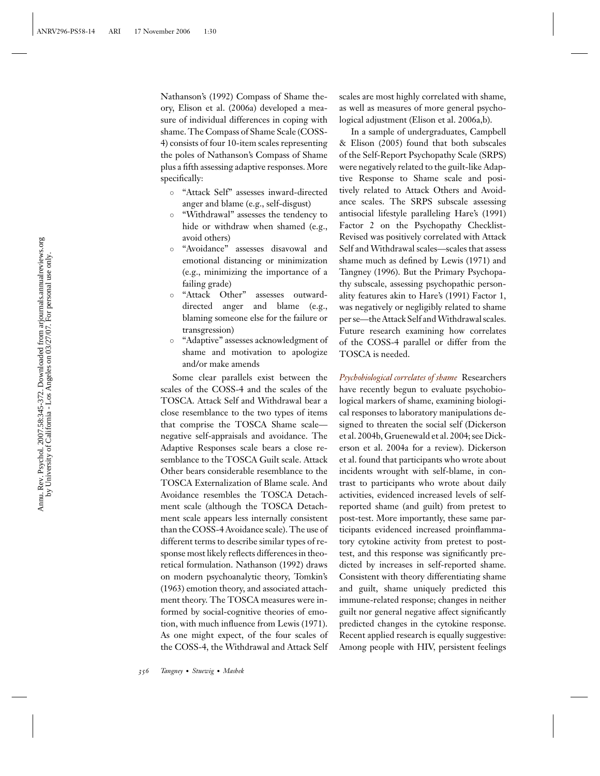Nathanson's (1992) Compass of Shame theory, Elison et al. (2006a) developed a measure of individual differences in coping with shame. The Compass of Shame Scale (COSS-4) consists of four 10-item scales representing the poles of Nathanson's Compass of Shame plus a fifth assessing adaptive responses. More specifically:

- "Attack Self" assesses inward-directed anger and blame (e.g., self-disgust)
- "Withdrawal" assesses the tendency to hide or withdraw when shamed (e.g., avoid others)
- "Avoidance" assesses disavowal and emotional distancing or minimization (e.g., minimizing the importance of a failing grade)
- "Attack Other" assesses outward-<br>directed anger and blame (e.g., and blame (e.g., blaming someone else for the failure or transgression)
- "Adaptive" assesses acknowledgment of shame and motivation to apologize and/or make amends

Some clear parallels exist between the scales of the COSS-4 and the scales of the TOSCA. Attack Self and Withdrawal bear a close resemblance to the two types of items that comprise the TOSCA Shame scale negative self-appraisals and avoidance. The Adaptive Responses scale bears a close resemblance to the TOSCA Guilt scale. Attack Other bears considerable resemblance to the TOSCA Externalization of Blame scale. And Avoidance resembles the TOSCA Detachment scale (although the TOSCA Detachment scale appears less internally consistent than the COSS-4 Avoidance scale). The use of different terms to describe similar types of response most likely reflects differences in theoretical formulation. Nathanson (1992) draws on modern psychoanalytic theory, Tomkin's (1963) emotion theory, and associated attachment theory. The TOSCA measures were informed by social-cognitive theories of emotion, with much influence from Lewis (1971). As one might expect, of the four scales of the COSS-4, the Withdrawal and Attack Self

scales are most highly correlated with shame, as well as measures of more general psychological adjustment (Elison et al. 2006a,b).

In a sample of undergraduates, Campbell & Elison (2005) found that both subscales of the Self-Report Psychopathy Scale (SRPS) were negatively related to the guilt-like Adaptive Response to Shame scale and positively related to Attack Others and Avoidance scales. The SRPS subscale assessing antisocial lifestyle paralleling Hare's (1991) Factor 2 on the Psychopathy Checklist-Revised was positively correlated with Attack Self and Withdrawal scales—scales that assess shame much as defined by Lewis (1971) and Tangney (1996). But the Primary Psychopathy subscale, assessing psychopathic personality features akin to Hare's (1991) Factor 1, was negatively or negligibly related to shame per se—the Attack Self andWithdrawal scales. Future research examining how correlates of the COSS-4 parallel or differ from the TOSCA is needed.

*Psychobiological correlates of shame* Researchers have recently begun to evaluate psychobiological markers of shame, examining biological responses to laboratory manipulations designed to threaten the social self (Dickerson et al. 2004b, Gruenewald et al. 2004; see Dickerson et al. 2004a for a review). Dickerson et al. found that participants who wrote about incidents wrought with self-blame, in contrast to participants who wrote about daily activities, evidenced increased levels of selfreported shame (and guilt) from pretest to post-test. More importantly, these same participants evidenced increased proinflammatory cytokine activity from pretest to posttest, and this response was significantly predicted by increases in self-reported shame. Consistent with theory differentiating shame and guilt, shame uniquely predicted this immune-related response; changes in neither guilt nor general negative affect significantly predicted changes in the cytokine response. Recent applied research is equally suggestive: Among people with HIV, persistent feelings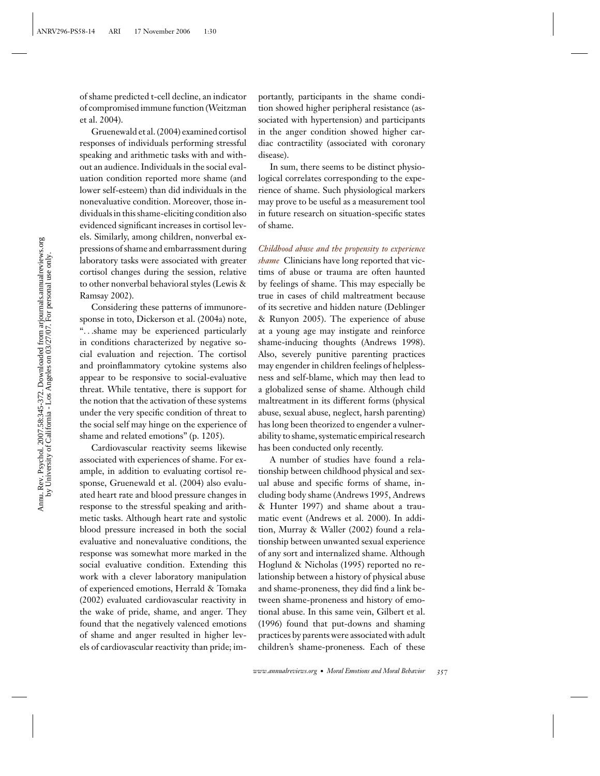of shame predicted t-cell decline, an indicator of compromised immune function (Weitzman et al. 2004).

Gruenewald et al. (2004) examined cortisol responses of individuals performing stressful speaking and arithmetic tasks with and without an audience. Individuals in the social evaluation condition reported more shame (and lower self-esteem) than did individuals in the nonevaluative condition. Moreover, those individuals in this shame-eliciting condition also evidenced significant increases in cortisol levels. Similarly, among children, nonverbal expressions of shame and embarrassment during laboratory tasks were associated with greater cortisol changes during the session, relative to other nonverbal behavioral styles (Lewis & Ramsay 2002).

Considering these patterns of immunoresponse in toto, Dickerson et al. (2004a) note, "...shame may be experienced particularly in conditions characterized by negative social evaluation and rejection. The cortisol and proinflammatory cytokine systems also appear to be responsive to social-evaluative threat. While tentative, there is support for the notion that the activation of these systems under the very specific condition of threat to the social self may hinge on the experience of shame and related emotions" (p. 1205).

Cardiovascular reactivity seems likewise associated with experiences of shame. For example, in addition to evaluating cortisol response, Gruenewald et al. (2004) also evaluated heart rate and blood pressure changes in response to the stressful speaking and arithmetic tasks. Although heart rate and systolic blood pressure increased in both the social evaluative and nonevaluative conditions, the response was somewhat more marked in the social evaluative condition. Extending this work with a clever laboratory manipulation of experienced emotions, Herrald & Tomaka (2002) evaluated cardiovascular reactivity in the wake of pride, shame, and anger. They found that the negatively valenced emotions of shame and anger resulted in higher levels of cardiovascular reactivity than pride; importantly, participants in the shame condition showed higher peripheral resistance (associated with hypertension) and participants in the anger condition showed higher cardiac contractility (associated with coronary disease).

In sum, there seems to be distinct physiological correlates corresponding to the experience of shame. Such physiological markers may prove to be useful as a measurement tool in future research on situation-specific states of shame.

*Childhood abuse and the propensity to experience shame* Clinicians have long reported that victims of abuse or trauma are often haunted by feelings of shame. This may especially be true in cases of child maltreatment because of its secretive and hidden nature (Deblinger & Runyon 2005). The experience of abuse at a young age may instigate and reinforce shame-inducing thoughts (Andrews 1998). Also, severely punitive parenting practices may engender in children feelings of helplessness and self-blame, which may then lead to a globalized sense of shame. Although child maltreatment in its different forms (physical abuse, sexual abuse, neglect, harsh parenting) has long been theorized to engender a vulnerability to shame, systematic empirical research has been conducted only recently.

A number of studies have found a relationship between childhood physical and sexual abuse and specific forms of shame, including body shame (Andrews 1995, Andrews & Hunter 1997) and shame about a traumatic event (Andrews et al. 2000). In addition, Murray & Waller (2002) found a relationship between unwanted sexual experience of any sort and internalized shame. Although Hoglund & Nicholas (1995) reported no relationship between a history of physical abuse and shame-proneness, they did find a link between shame-proneness and history of emotional abuse. In this same vein, Gilbert et al. (1996) found that put-downs and shaming practices by parents were associated with adult children's shame-proneness. Each of these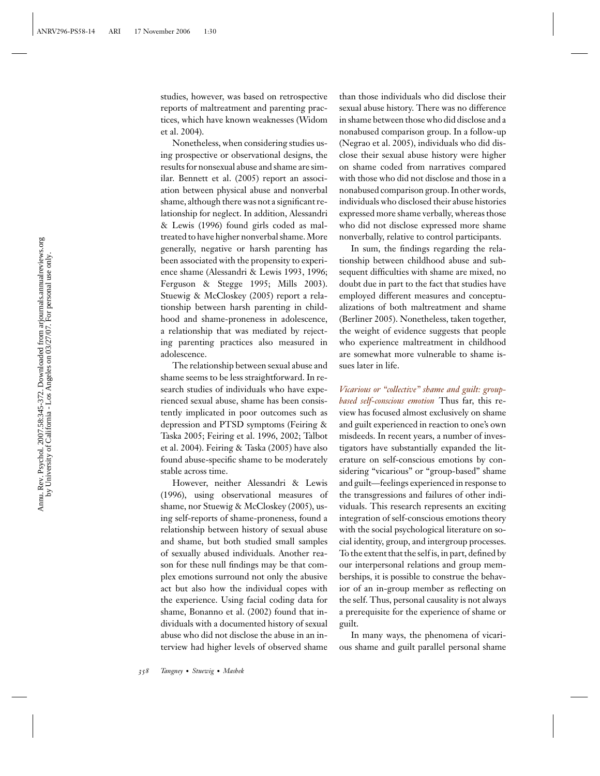studies, however, was based on retrospective reports of maltreatment and parenting practices, which have known weaknesses (Widom et al. 2004).

Nonetheless, when considering studies using prospective or observational designs, the results for nonsexual abuse and shame are similar. Bennett et al. (2005) report an association between physical abuse and nonverbal shame, although there was not a significant relationship for neglect. In addition, Alessandri & Lewis (1996) found girls coded as maltreated to have higher nonverbal shame. More generally, negative or harsh parenting has been associated with the propensity to experience shame (Alessandri & Lewis 1993, 1996; Ferguson & Stegge 1995; Mills 2003). Stuewig & McCloskey (2005) report a relationship between harsh parenting in childhood and shame-proneness in adolescence, a relationship that was mediated by rejecting parenting practices also measured in adolescence.

The relationship between sexual abuse and shame seems to be less straightforward. In research studies of individuals who have experienced sexual abuse, shame has been consistently implicated in poor outcomes such as depression and PTSD symptoms (Feiring & Taska 2005; Feiring et al. 1996, 2002; Talbot et al. 2004). Feiring & Taska (2005) have also found abuse-specific shame to be moderately stable across time.

However, neither Alessandri & Lewis (1996), using observational measures of shame, nor Stuewig & McCloskey (2005), using self-reports of shame-proneness, found a relationship between history of sexual abuse and shame, but both studied small samples of sexually abused individuals. Another reason for these null findings may be that complex emotions surround not only the abusive act but also how the individual copes with the experience. Using facial coding data for shame, Bonanno et al. (2002) found that individuals with a documented history of sexual abuse who did not disclose the abuse in an interview had higher levels of observed shame

than those individuals who did disclose their sexual abuse history. There was no difference in shame between those who did disclose and a nonabused comparison group. In a follow-up (Negrao et al. 2005), individuals who did disclose their sexual abuse history were higher on shame coded from narratives compared with those who did not disclose and those in a nonabused comparison group. In other words, individuals who disclosed their abuse histories expressed more shame verbally, whereas those who did not disclose expressed more shame nonverbally, relative to control participants.

In sum, the findings regarding the relationship between childhood abuse and subsequent difficulties with shame are mixed, no doubt due in part to the fact that studies have employed different measures and conceptualizations of both maltreatment and shame (Berliner 2005). Nonetheless, taken together, the weight of evidence suggests that people who experience maltreatment in childhood are somewhat more vulnerable to shame issues later in life.

*Vicarious or "collective" shame and guilt: groupbased self-conscious emotion* Thus far, this review has focused almost exclusively on shame and guilt experienced in reaction to one's own misdeeds. In recent years, a number of investigators have substantially expanded the literature on self-conscious emotions by considering "vicarious" or "group-based" shame and guilt—feelings experienced in response to the transgressions and failures of other individuals. This research represents an exciting integration of self-conscious emotions theory with the social psychological literature on social identity, group, and intergroup processes. To the extent that the self is, in part, defined by our interpersonal relations and group memberships, it is possible to construe the behavior of an in-group member as reflecting on the self. Thus, personal causality is not always a prerequisite for the experience of shame or guilt.

In many ways, the phenomena of vicarious shame and guilt parallel personal shame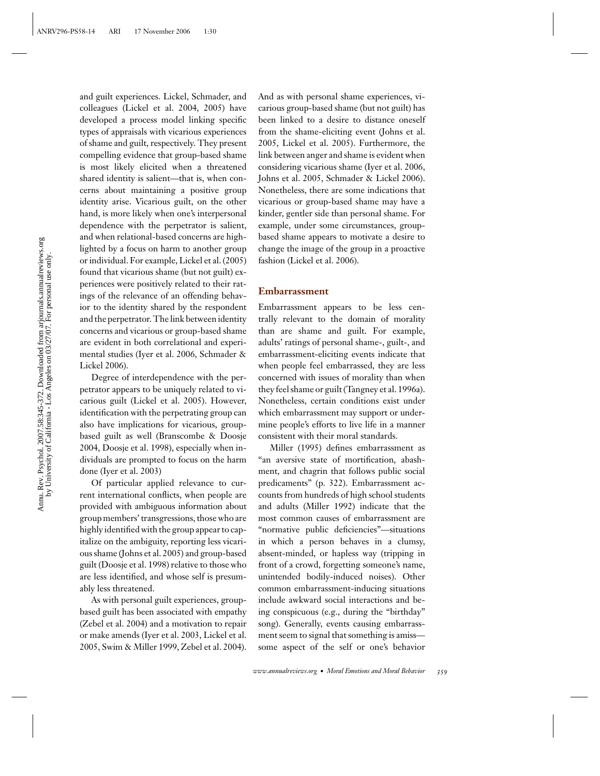and guilt experiences. Lickel, Schmader, and colleagues (Lickel et al. 2004, 2005) have developed a process model linking specific types of appraisals with vicarious experiences of shame and guilt, respectively. They present compelling evidence that group-based shame is most likely elicited when a threatened shared identity is salient—that is, when concerns about maintaining a positive group identity arise. Vicarious guilt, on the other hand, is more likely when one's interpersonal dependence with the perpetrator is salient, and when relational-based concerns are highlighted by a focus on harm to another group or individual. For example, Lickel et al. (2005) found that vicarious shame (but not guilt) experiences were positively related to their ratings of the relevance of an offending behavior to the identity shared by the respondent and the perpetrator. The link between identity concerns and vicarious or group-based shame are evident in both correlational and experimental studies (Iyer et al. 2006, Schmader & Lickel 2006).

Degree of interdependence with the perpetrator appears to be uniquely related to vicarious guilt (Lickel et al. 2005). However, identification with the perpetrating group can also have implications for vicarious, groupbased guilt as well (Branscombe & Doosje 2004, Doosje et al. 1998), especially when individuals are prompted to focus on the harm done (Iyer et al. 2003)

Of particular applied relevance to current international conflicts, when people are provided with ambiguous information about group members' transgressions, those who are highly identified with the group appear to capitalize on the ambiguity, reporting less vicarious shame (Johns et al. 2005) and group-based guilt (Doosje et al. 1998) relative to those who are less identified, and whose self is presumably less threatened.

As with personal guilt experiences, groupbased guilt has been associated with empathy (Zebel et al. 2004) and a motivation to repair or make amends (Iyer et al. 2003, Lickel et al. 2005, Swim & Miller 1999, Zebel et al. 2004).

And as with personal shame experiences, vicarious group-based shame (but not guilt) has been linked to a desire to distance oneself from the shame-eliciting event (Johns et al. 2005, Lickel et al. 2005). Furthermore, the link between anger and shame is evident when considering vicarious shame (Iyer et al. 2006, Johns et al. 2005, Schmader & Lickel 2006). Nonetheless, there are some indications that vicarious or group-based shame may have a kinder, gentler side than personal shame. For example, under some circumstances, groupbased shame appears to motivate a desire to change the image of the group in a proactive fashion (Lickel et al. 2006).

#### **Embarrassment**

Embarrassment appears to be less centrally relevant to the domain of morality than are shame and guilt. For example, adults' ratings of personal shame-, guilt-, and embarrassment-eliciting events indicate that when people feel embarrassed, they are less concerned with issues of morality than when they feel shame or guilt (Tangney et al. 1996a). Nonetheless, certain conditions exist under which embarrassment may support or undermine people's efforts to live life in a manner consistent with their moral standards.

Miller (1995) defines embarrassment as "an aversive state of mortification, abashment, and chagrin that follows public social predicaments" (p. 322). Embarrassment accounts from hundreds of high school students and adults (Miller 1992) indicate that the most common causes of embarrassment are "normative public deficiencies"—situations in which a person behaves in a clumsy, absent-minded, or hapless way (tripping in front of a crowd, forgetting someone's name, unintended bodily-induced noises). Other common embarrassment-inducing situations include awkward social interactions and being conspicuous (e.g., during the "birthday" song). Generally, events causing embarrassment seem to signal that something is amiss some aspect of the self or one's behavior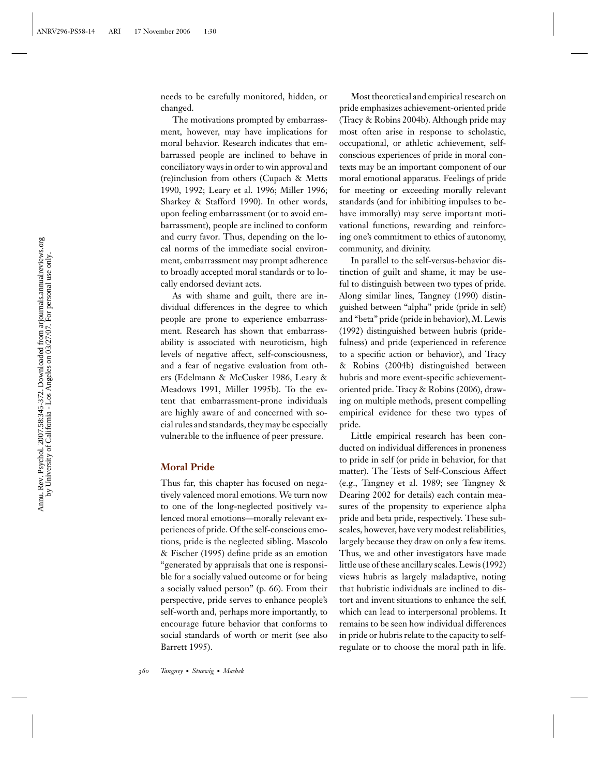needs to be carefully monitored, hidden, or changed.

The motivations prompted by embarrassment, however, may have implications for moral behavior. Research indicates that embarrassed people are inclined to behave in conciliatory ways in order to win approval and (re)inclusion from others (Cupach & Metts 1990, 1992; Leary et al. 1996; Miller 1996; Sharkey & Stafford 1990). In other words, upon feeling embarrassment (or to avoid embarrassment), people are inclined to conform and curry favor. Thus, depending on the local norms of the immediate social environment, embarrassment may prompt adherence to broadly accepted moral standards or to locally endorsed deviant acts.

As with shame and guilt, there are individual differences in the degree to which people are prone to experience embarrassment. Research has shown that embarrassability is associated with neuroticism, high levels of negative affect, self-consciousness, and a fear of negative evaluation from others (Edelmann & McCusker 1986, Leary & Meadows 1991, Miller 1995b). To the extent that embarrassment-prone individuals are highly aware of and concerned with social rules and standards, they may be especially vulnerable to the influence of peer pressure.

#### **Moral Pride**

Thus far, this chapter has focused on negatively valenced moral emotions. We turn now to one of the long-neglected positively valenced moral emotions—morally relevant experiences of pride. Of the self-conscious emotions, pride is the neglected sibling. Mascolo & Fischer (1995) define pride as an emotion "generated by appraisals that one is responsible for a socially valued outcome or for being a socially valued person" (p. 66). From their perspective, pride serves to enhance people's self-worth and, perhaps more importantly, to encourage future behavior that conforms to social standards of worth or merit (see also Barrett 1995).

Most theoretical and empirical research on pride emphasizes achievement-oriented pride (Tracy & Robins 2004b). Although pride may most often arise in response to scholastic, occupational, or athletic achievement, selfconscious experiences of pride in moral contexts may be an important component of our moral emotional apparatus. Feelings of pride for meeting or exceeding morally relevant standards (and for inhibiting impulses to behave immorally) may serve important motivational functions, rewarding and reinforcing one's commitment to ethics of autonomy, community, and divinity.

In parallel to the self-versus-behavior distinction of guilt and shame, it may be useful to distinguish between two types of pride. Along similar lines, Tangney (1990) distinguished between "alpha" pride (pride in self) and "beta" pride (pride in behavior), M. Lewis (1992) distinguished between hubris (pridefulness) and pride (experienced in reference to a specific action or behavior), and Tracy & Robins (2004b) distinguished between hubris and more event-specific achievementoriented pride. Tracy & Robins (2006), drawing on multiple methods, present compelling empirical evidence for these two types of pride.

Little empirical research has been conducted on individual differences in proneness to pride in self (or pride in behavior, for that matter). The Tests of Self-Conscious Affect (e.g., Tangney et al. 1989; see Tangney & Dearing 2002 for details) each contain measures of the propensity to experience alpha pride and beta pride, respectively. These subscales, however, have very modest reliabilities, largely because they draw on only a few items. Thus, we and other investigators have made little use of these ancillary scales. Lewis (1992) views hubris as largely maladaptive, noting that hubristic individuals are inclined to distort and invent situations to enhance the self, which can lead to interpersonal problems. It remains to be seen how individual differences in pride or hubris relate to the capacity to selfregulate or to choose the moral path in life.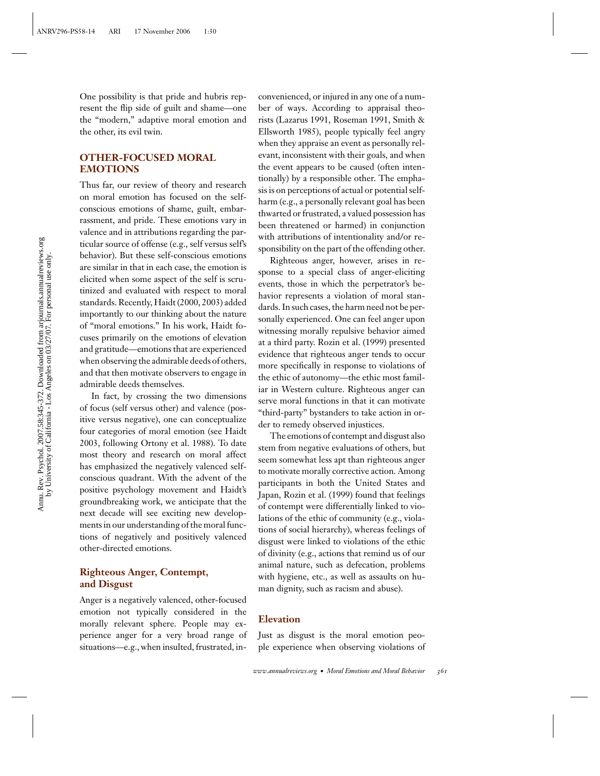One possibility is that pride and hubris represent the flip side of guilt and shame—one the "modern," adaptive moral emotion and the other, its evil twin.

## **OTHER-FOCUSED MORAL EMOTIONS**

Thus far, our review of theory and research on moral emotion has focused on the selfconscious emotions of shame, guilt, embarrassment, and pride. These emotions vary in valence and in attributions regarding the particular source of offense (e.g., self versus self's behavior). But these self-conscious emotions are similar in that in each case, the emotion is elicited when some aspect of the self is scrutinized and evaluated with respect to moral standards. Recently, Haidt (2000, 2003) added importantly to our thinking about the nature of "moral emotions." In his work, Haidt focuses primarily on the emotions of elevation and gratitude—emotions that are experienced when observing the admirable deeds of others, and that then motivate observers to engage in admirable deeds themselves.

In fact, by crossing the two dimensions of focus (self versus other) and valence (positive versus negative), one can conceptualize four categories of moral emotion (see Haidt 2003, following Ortony et al. 1988). To date most theory and research on moral affect has emphasized the negatively valenced selfconscious quadrant. With the advent of the positive psychology movement and Haidt's groundbreaking work, we anticipate that the next decade will see exciting new developments in our understanding of the moral functions of negatively and positively valenced other-directed emotions.

## **Righteous Anger, Contempt, and Disgust**

Anger is a negatively valenced, other-focused emotion not typically considered in the morally relevant sphere. People may experience anger for a very broad range of situations—e.g., when insulted, frustrated, inconvenienced, or injured in any one of a number of ways. According to appraisal theorists (Lazarus 1991, Roseman 1991, Smith & Ellsworth 1985), people typically feel angry when they appraise an event as personally relevant, inconsistent with their goals, and when the event appears to be caused (often intentionally) by a responsible other. The emphasis is on perceptions of actual or potential selfharm (e.g., a personally relevant goal has been thwarted or frustrated, a valued possession has been threatened or harmed) in conjunction with attributions of intentionality and/or responsibility on the part of the offending other.

Righteous anger, however, arises in response to a special class of anger-eliciting events, those in which the perpetrator's behavior represents a violation of moral standards. In such cases, the harm need not be personally experienced. One can feel anger upon witnessing morally repulsive behavior aimed at a third party. Rozin et al. (1999) presented evidence that righteous anger tends to occur more specifically in response to violations of the ethic of autonomy—the ethic most familiar in Western culture. Righteous anger can serve moral functions in that it can motivate "third-party" bystanders to take action in order to remedy observed injustices.

The emotions of contempt and disgust also stem from negative evaluations of others, but seem somewhat less apt than righteous anger to motivate morally corrective action. Among participants in both the United States and Japan, Rozin et al. (1999) found that feelings of contempt were differentially linked to violations of the ethic of community (e.g., violations of social hierarchy), whereas feelings of disgust were linked to violations of the ethic of divinity (e.g., actions that remind us of our animal nature, such as defecation, problems with hygiene, etc., as well as assaults on human dignity, such as racism and abuse).

#### **Elevation**

Just as disgust is the moral emotion people experience when observing violations of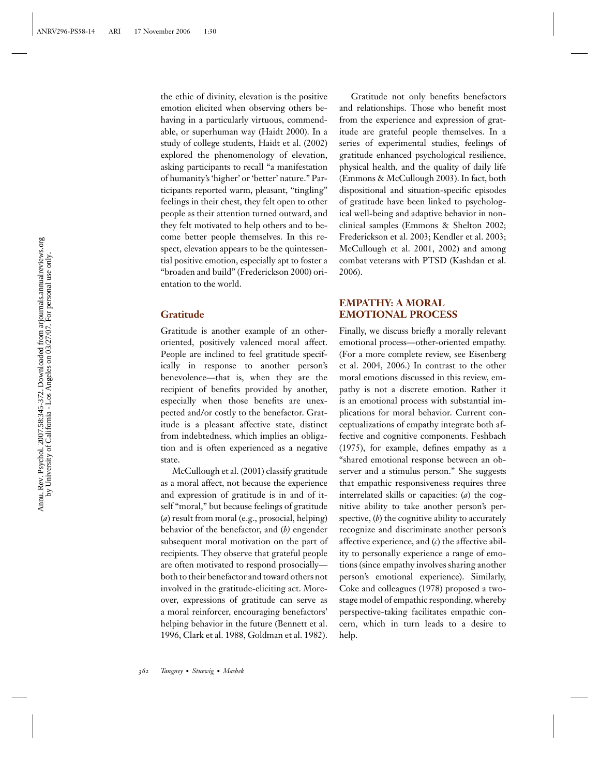the ethic of divinity, elevation is the positive emotion elicited when observing others behaving in a particularly virtuous, commendable, or superhuman way (Haidt 2000). In a study of college students, Haidt et al. (2002) explored the phenomenology of elevation, asking participants to recall "a manifestation of humanity's 'higher' or 'better' nature." Participants reported warm, pleasant, "tingling" feelings in their chest, they felt open to other people as their attention turned outward, and they felt motivated to help others and to become better people themselves. In this respect, elevation appears to be the quintessential positive emotion, especially apt to foster a "broaden and build" (Frederickson 2000) orientation to the world.

#### **Gratitude**

Gratitude is another example of an otheroriented, positively valenced moral affect. People are inclined to feel gratitude specifically in response to another person's benevolence—that is, when they are the recipient of benefits provided by another, especially when those benefits are unexpected and/or costly to the benefactor. Gratitude is a pleasant affective state, distinct from indebtedness, which implies an obligation and is often experienced as a negative state.

McCullough et al. (2001) classify gratitude as a moral affect, not because the experience and expression of gratitude is in and of itself "moral," but because feelings of gratitude (*a*) result from moral (e.g., prosocial, helping) behavior of the benefactor, and (*b)* engender subsequent moral motivation on the part of recipients. They observe that grateful people are often motivated to respond prosocially both to their benefactor and toward others not involved in the gratitude-eliciting act. Moreover, expressions of gratitude can serve as a moral reinforcer, encouraging benefactors' helping behavior in the future (Bennett et al. 1996, Clark et al. 1988, Goldman et al. 1982).

Gratitude not only benefits benefactors and relationships. Those who benefit most from the experience and expression of gratitude are grateful people themselves. In a series of experimental studies, feelings of gratitude enhanced psychological resilience, physical health, and the quality of daily life (Emmons & McCullough 2003). In fact, both dispositional and situation-specific episodes of gratitude have been linked to psychological well-being and adaptive behavior in nonclinical samples (Emmons & Shelton 2002; Frederickson et al. 2003; Kendler et al. 2003; McCullough et al. 2001, 2002) and among combat veterans with PTSD (Kashdan et al. 2006).

## **EMPATHY: A MORAL EMOTIONAL PROCESS**

Finally, we discuss briefly a morally relevant emotional process—other-oriented empathy. (For a more complete review, see Eisenberg et al. 2004, 2006.) In contrast to the other moral emotions discussed in this review, empathy is not a discrete emotion. Rather it is an emotional process with substantial implications for moral behavior. Current conceptualizations of empathy integrate both affective and cognitive components. Feshbach (1975), for example, defines empathy as a "shared emotional response between an observer and a stimulus person." She suggests that empathic responsiveness requires three interrelated skills or capacities: (*a*) the cognitive ability to take another person's perspective, (*b*) the cognitive ability to accurately recognize and discriminate another person's affective experience, and (*c*) the affective ability to personally experience a range of emotions (since empathy involves sharing another person's emotional experience). Similarly, Coke and colleagues (1978) proposed a twostage model of empathic responding, whereby perspective-taking facilitates empathic concern, which in turn leads to a desire to help.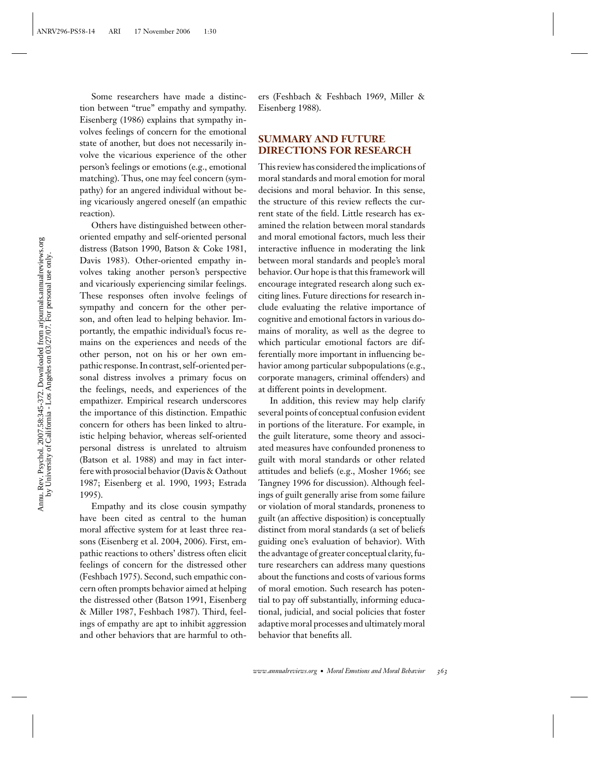Some researchers have made a distinction between "true" empathy and sympathy. Eisenberg (1986) explains that sympathy involves feelings of concern for the emotional state of another, but does not necessarily involve the vicarious experience of the other person's feelings or emotions (e.g., emotional matching). Thus, one may feel concern (sympathy) for an angered individual without being vicariously angered oneself (an empathic reaction). Others have distinguished between other-

oriented empathy and self-oriented personal distress (Batson 1990, Batson & Coke 1981, Davis 1983). Other-oriented empathy involves taking another person's perspective and vicariously experiencing similar feelings. These responses often involve feelings of sympathy and concern for the other person, and often lead to helping behavior. Importantly, the empathic individual's focus remains on the experiences and needs of the other person, not on his or her own empathic response. In contrast, self-oriented personal distress involves a primary focus on the feelings, needs, and experiences of the empathizer. Empirical research underscores the importance of this distinction. Empathic concern for others has been linked to altruistic helping behavior, whereas self-oriented personal distress is unrelated to altruism (Batson et al. 1988) and may in fact interfere with prosocial behavior (Davis & Oathout 1987; Eisenberg et al. 1990, 1993; Estrada 1995).

Empathy and its close cousin sympathy have been cited as central to the human moral affective system for at least three reasons (Eisenberg et al. 2004, 2006). First, empathic reactions to others' distress often elicit feelings of concern for the distressed other (Feshbach 1975). Second, such empathic concern often prompts behavior aimed at helping the distressed other (Batson 1991, Eisenberg & Miller 1987, Feshbach 1987). Third, feelings of empathy are apt to inhibit aggression and other behaviors that are harmful to others (Feshbach & Feshbach 1969, Miller & Eisenberg 1988).

## **SUMMARY AND FUTURE DIRECTIONS FOR RESEARCH**

This review has considered the implications of moral standards and moral emotion for moral decisions and moral behavior. In this sense, the structure of this review reflects the current state of the field. Little research has examined the relation between moral standards and moral emotional factors, much less their interactive influence in moderating the link between moral standards and people's moral behavior. Our hope is that this framework will encourage integrated research along such exciting lines. Future directions for research include evaluating the relative importance of cognitive and emotional factors in various domains of morality, as well as the degree to which particular emotional factors are differentially more important in influencing behavior among particular subpopulations (e.g., corporate managers, criminal offenders) and at different points in development.

In addition, this review may help clarify several points of conceptual confusion evident in portions of the literature. For example, in the guilt literature, some theory and associated measures have confounded proneness to guilt with moral standards or other related attitudes and beliefs (e.g., Mosher 1966; see Tangney 1996 for discussion). Although feelings of guilt generally arise from some failure or violation of moral standards, proneness to guilt (an affective disposition) is conceptually distinct from moral standards (a set of beliefs guiding one's evaluation of behavior). With the advantage of greater conceptual clarity, future researchers can address many questions about the functions and costs of various forms of moral emotion. Such research has potential to pay off substantially, informing educational, judicial, and social policies that foster adaptive moral processes and ultimately moral behavior that benefits all.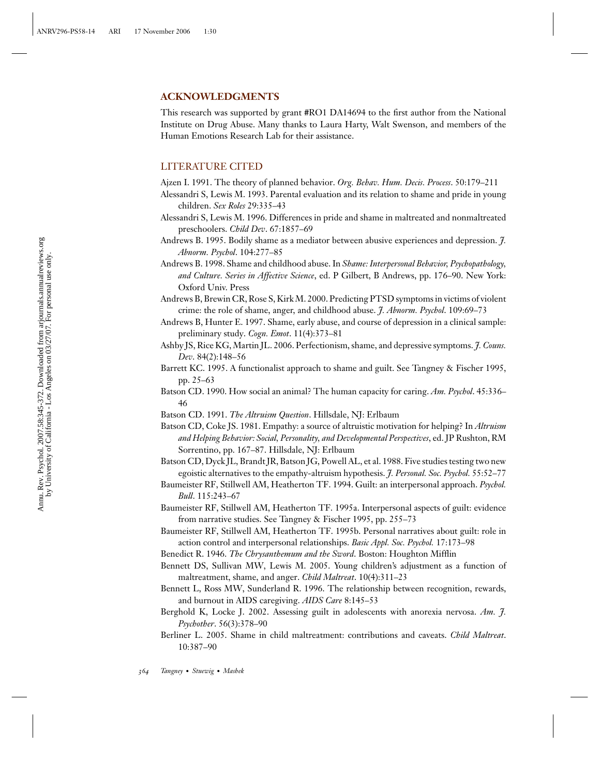#### **ACKNOWLEDGMENTS**

This research was supported by grant #RO1 DA14694 to the first author from the National Institute on Drug Abuse. Many thanks to Laura Harty, Walt Swenson, and members of the Human Emotions Research Lab for their assistance.

#### LITERATURE CITED

Ajzen I. 1991. The theory of planned behavior. *Org. Behav. Hum. Decis. Process*. 50:179–211

- Alessandri S, Lewis M. 1993. Parental evaluation and its relation to shame and pride in young children. *Sex Roles* 29:335–43
- Alessandri S, Lewis M. 1996. Differences in pride and shame in maltreated and nonmaltreated preschoolers. *Child Dev*. 67:1857–69
- Andrews B. 1995. Bodily shame as a mediator between abusive experiences and depression. *J. Abnorm. Psychol*. 104:277–85
- Andrews B. 1998. Shame and childhood abuse. In *Shame: Interpersonal Behavior, Psychopathology, and Culture. Series in Affective Science*, ed. P Gilbert, B Andrews, pp. 176–90. New York: Oxford Univ. Press
- Andrews B, Brewin CR, Rose S, Kirk M. 2000. Predicting PTSD symptoms in victims of violent crime: the role of shame, anger, and childhood abuse. *J. Abnorm. Psychol*. 109:69–73
- Andrews B, Hunter E. 1997. Shame, early abuse, and course of depression in a clinical sample: preliminary study. *Cogn. Emot*. 11(4):373–81
- Ashby JS, Rice KG, Martin JL. 2006. Perfectionism, shame, and depressive symptoms. *J. Couns. Dev*. 84(2):148–56
- Barrett KC. 1995. A functionalist approach to shame and guilt. See Tangney & Fischer 1995, pp. 25–63
- Batson CD. 1990. How social an animal? The human capacity for caring. *Am. Psychol*. 45:336– 46
- Batson CD. 1991. *The Altruism Question*. Hillsdale, NJ: Erlbaum
- Batson CD, Coke JS. 1981. Empathy: a source of altruistic motivation for helping? In *Altruism and Helping Behavior: Social, Personality, and Developmental Perspectives*, ed. JP Rushton, RM Sorrentino, pp. 167–87. Hillsdale, NJ: Erlbaum
- Batson CD, Dyck JL, Brandt JR, Batson JG, Powell AL, et al. 1988. Five studies testing two new egoistic alternatives to the empathy-altruism hypothesis. *J. Personal. Soc. Psychol.* 55:52–77
- Baumeister RF, Stillwell AM, Heatherton TF. 1994. Guilt: an interpersonal approach. *Psychol. Bull*. 115:243–67
- Baumeister RF, Stillwell AM, Heatherton TF. 1995a. Interpersonal aspects of guilt: evidence from narrative studies. See Tangney & Fischer 1995, pp. 255–73
- Baumeister RF, Stillwell AM, Heatherton TF. 1995b. Personal narratives about guilt: role in action control and interpersonal relationships. *Basic Appl. Soc. Psychol.* 17:173–98
- Benedict R. 1946. *The Chrysanthemum and the Sword*. Boston: Houghton Mifflin
- Bennett DS, Sullivan MW, Lewis M. 2005. Young children's adjustment as a function of maltreatment, shame, and anger. *Child Maltreat*. 10(4):311–23
- Bennett L, Ross MW, Sunderland R. 1996. The relationship between recognition, rewards, and burnout in AIDS caregiving. *AIDS Care* 8:145–53
- Berghold K, Locke J. 2002. Assessing guilt in adolescents with anorexia nervosa. *Am. J. Psychother*. 56(3):378–90
- Berliner L. 2005. Shame in child maltreatment: contributions and caveats. *Child Maltreat*. 10:387–90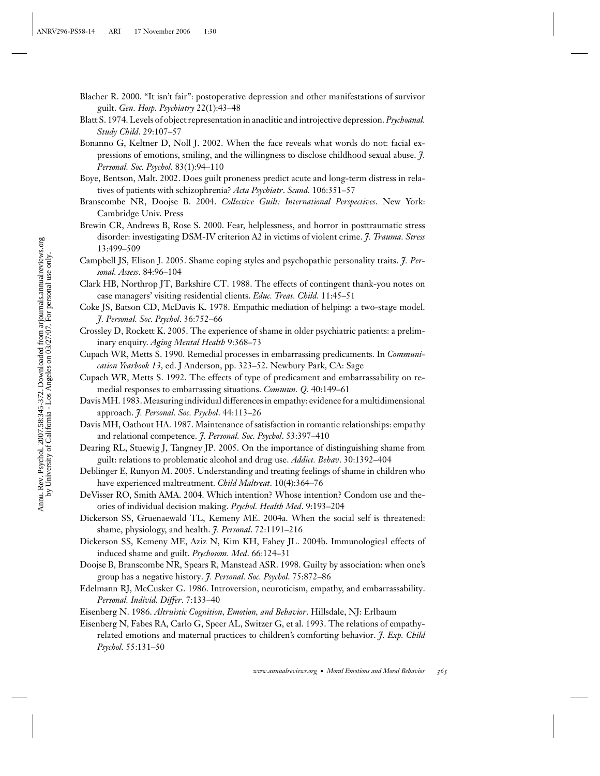- Blacher R. 2000. "It isn't fair": postoperative depression and other manifestations of survivor guilt. *Gen. Hosp. Psychiatry* 22(1):43–48
- Blatt S. 1974. Levels of object representation in anaclitic and introjective depression. *Psychoanal. Study Child*. 29:107–57
- Bonanno G, Keltner D, Noll J. 2002. When the face reveals what words do not: facial expressions of emotions, smiling, and the willingness to disclose childhood sexual abuse. *J. Personal. Soc. Psychol*. 83(1):94–110
- Boye, Bentson, Malt. 2002. Does guilt proneness predict acute and long-term distress in relatives of patients with schizophrenia? *Acta Psychiatr*. *Scand*. 106:351–57
- Branscombe NR, Doojse B. 2004. *Collective Guilt: International Perspectives*. New York: Cambridge Univ. Press
- Brewin CR, Andrews B, Rose S. 2000. Fear, helplessness, and horror in posttraumatic stress disorder: investigating DSM-IV criterion A2 in victims of violent crime. *J. Trauma. Stress* 13:499–509
- Campbell JS, Elison J. 2005. Shame coping styles and psychopathic personality traits. *J. Personal. Assess*. 84:96–104
- Clark HB, Northrop JT, Barkshire CT. 1988. The effects of contingent thank-you notes on case managers' visiting residential clients. *Educ. Treat. Child*. 11:45–51
- Coke JS, Batson CD, McDavis K. 1978. Empathic mediation of helping: a two-stage model. *J. Personal. Soc. Psychol*. 36:752–66
- Crossley D, Rockett K. 2005. The experience of shame in older psychiatric patients: a preliminary enquiry. *Aging Mental Health* 9:368–73
- Cupach WR, Metts S. 1990. Remedial processes in embarrassing predicaments. In *Communication Yearbook 13*, ed. J Anderson, pp. 323–52. Newbury Park, CA: Sage
- Cupach WR, Metts S. 1992. The effects of type of predicament and embarrassability on remedial responses to embarrassing situations. *Commun. Q*. 40:149–61
- DavisMH. 1983.Measuring individual differences in empathy: evidence for a multidimensional approach. *J. Personal. Soc. Psychol*. 44:113–26
- Davis MH, Oathout HA. 1987. Maintenance of satisfaction in romantic relationships: empathy and relational competence. *J. Personal. Soc. Psychol*. 53:397–410
- Dearing RL, Stuewig J, Tangney JP. 2005. On the importance of distinguishing shame from guilt: relations to problematic alcohol and drug use. *Addict. Behav*. 30:1392–404
- Deblinger E, Runyon M. 2005. Understanding and treating feelings of shame in children who have experienced maltreatment. *Child Maltreat*. 10(4):364–76
- DeVisser RO, Smith AMA. 2004. Which intention? Whose intention? Condom use and theories of individual decision making. *Psychol. Health Med*. 9:193–204
- Dickerson SS, Gruenaewald TL, Kemeny ME. 2004a. When the social self is threatened: shame, physiology, and health. *J. Personal*. 72:1191–216
- Dickerson SS, Kemeny ME, Aziz N, Kim KH, Fahey JL. 2004b. Immunological effects of induced shame and guilt. *Psychosom. Med*. 66:124–31
- Doojse B, Branscombe NR, Spears R, Manstead ASR. 1998. Guilty by association: when one's group has a negative history. *J. Personal. Soc. Psychol*. 75:872–86
- Edelmann RJ, McCusker G. 1986. Introversion, neuroticism, empathy, and embarrassability. *Personal. Individ. Differ*. 7:133–40
- Eisenberg N. 1986. *Altruistic Cognition, Emotion, and Behavior*. Hillsdale, NJ: Erlbaum
- Eisenberg N, Fabes RA, Carlo G, Speer AL, Switzer G, et al. 1993. The relations of empathyrelated emotions and maternal practices to children's comforting behavior. *J. Exp. Child Psychol.* 55:131–50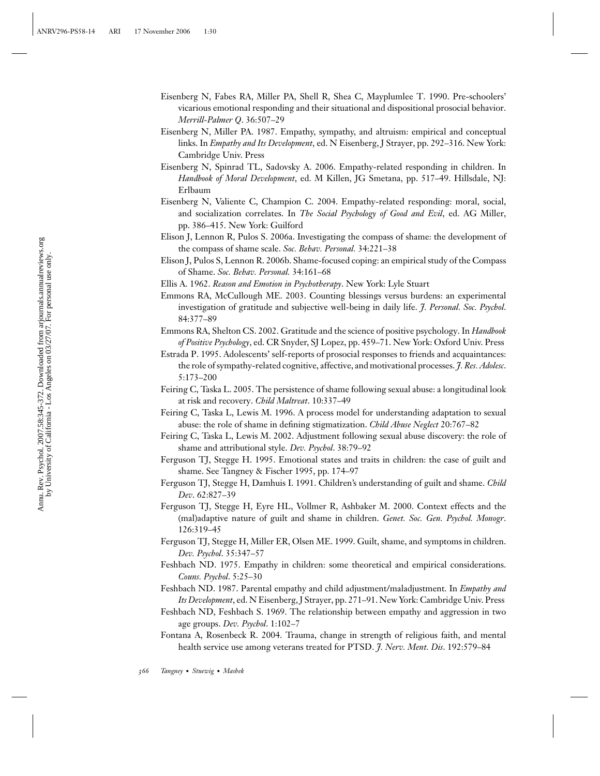- Eisenberg N, Fabes RA, Miller PA, Shell R, Shea C, Mayplumlee T. 1990. Pre-schoolers' vicarious emotional responding and their situational and dispositional prosocial behavior. *Merrill-Palmer Q*. 36:507–29
- Eisenberg N, Miller PA. 1987. Empathy, sympathy, and altruism: empirical and conceptual links. In *Empathy and Its Development*, ed. N Eisenberg, J Strayer, pp. 292–316. New York: Cambridge Univ. Press
- Eisenberg N, Spinrad TL, Sadovsky A. 2006. Empathy-related responding in children. In *Handbook of Moral Development*, ed. M Killen, JG Smetana, pp. 517–49. Hillsdale, NJ: Erlbaum
- Eisenberg N, Valiente C, Champion C. 2004. Empathy-related responding: moral, social, and socialization correlates. In *The Social Psychology of Good and Evil*, ed. AG Miller, pp. 386–415. New York: Guilford
- Elison J, Lennon R, Pulos S. 2006a. Investigating the compass of shame: the development of the compass of shame scale. *Soc. Behav. Personal.* 34:221–38
- Elison J, Pulos S, Lennon R. 2006b. Shame-focused coping: an empirical study of the Compass of Shame. *Soc. Behav. Personal.* 34:161–68
- Ellis A. 1962. *Reason and Emotion in Psychotherapy*. New York: Lyle Stuart
- Emmons RA, McCullough ME. 2003. Counting blessings versus burdens: an experimental investigation of gratitude and subjective well-being in daily life. *J. Personal. Soc. Psychol*. 84:377–89
- Emmons RA, Shelton CS. 2002. Gratitude and the science of positive psychology. In *Handbook of Positive Psychology*, ed. CR Snyder, SJ Lopez, pp. 459–71. New York: Oxford Univ. Press
- Estrada P. 1995. Adolescents' self-reports of prosocial responses to friends and acquaintances: the role of sympathy-related cognitive, affective, and motivational processes. *J. Res. Adolesc*. 5:173–200
- Feiring C, Taska L. 2005. The persistence of shame following sexual abuse: a longitudinal look at risk and recovery. *Child Maltreat*. 10:337–49
- Feiring C, Taska L, Lewis M. 1996. A process model for understanding adaptation to sexual abuse: the role of shame in defining stigmatization. *Child Abuse Neglect* 20:767–82
- Feiring C, Taska L, Lewis M. 2002. Adjustment following sexual abuse discovery: the role of shame and attributional style. *Dev. Psychol*. 38:79–92
- Ferguson TJ, Stegge H. 1995. Emotional states and traits in children: the case of guilt and shame. See Tangney & Fischer 1995, pp. 174–97
- Ferguson TJ, Stegge H, Damhuis I. 1991. Children's understanding of guilt and shame. *Child Dev*. 62:827–39
- Ferguson TJ, Stegge H, Eyre HL, Vollmer R, Ashbaker M. 2000. Context effects and the (mal)adaptive nature of guilt and shame in children. *Genet. Soc. Gen. Psychol. Monogr*. 126:319–45
- Ferguson TJ, Stegge H, Miller ER, Olsen ME. 1999. Guilt, shame, and symptoms in children. *Dev. Psychol*. 35:347–57
- Feshbach ND. 1975. Empathy in children: some theoretical and empirical considerations. *Couns. Psychol*. 5:25–30
- Feshbach ND. 1987. Parental empathy and child adjustment/maladjustment. In *Empathy and Its Development*, ed. N Eisenberg, J Strayer, pp. 271–91. New York: Cambridge Univ. Press
- Feshbach ND, Feshbach S. 1969. The relationship between empathy and aggression in two age groups. *Dev. Psychol*. 1:102–7
- Fontana A, Rosenbeck R. 2004. Trauma, change in strength of religious faith, and mental health service use among veterans treated for PTSD. *J. Nerv. Ment. Dis*. 192:579–84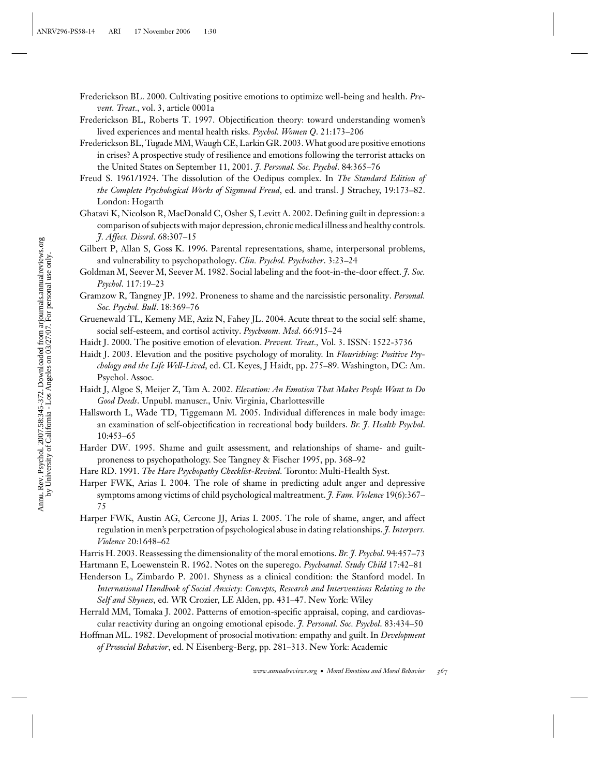- Frederickson BL. 2000. Cultivating positive emotions to optimize well-being and health. *Prevent. Treat.,* vol. 3, article 0001a
- Frederickson BL, Roberts T. 1997. Objectification theory: toward understanding women's lived experiences and mental health risks. *Psychol. Women Q*. 21:173–206
- Frederickson BL, Tugade MM,Waugh CE, Larkin GR. 2003.What good are positive emotions in crises? A prospective study of resilience and emotions following the terrorist attacks on the United States on September 11, 2001. *J. Personal. Soc. Psychol*. 84:365–76
- Freud S. 1961/1924. The dissolution of the Oedipus complex. In *The Standard Edition of the Complete Psychological Works of Sigmund Freud*, ed. and transl. J Strachey, 19:173–82. London: Hogarth
- Ghatavi K, Nicolson R, MacDonald C, Osher S, Levitt A. 2002. Defining guilt in depression: a comparison of subjects with major depression, chronic medical illness and healthy controls. *J. Affect. Disord*. 68:307–15
- Gilbert P, Allan S, Goss K. 1996. Parental representations, shame, interpersonal problems, and vulnerability to psychopathology. *Clin. Psychol. Psychother*. 3:23–24
- Goldman M, Seever M, Seever M. 1982. Social labeling and the foot-in-the-door effect. *J. Soc. Psychol*. 117:19–23
- Gramzow R, Tangney JP. 1992. Proneness to shame and the narcissistic personality. *Personal. Soc. Psychol. Bull*. 18:369–76
- Gruenewald TL, Kemeny ME, Aziz N, Fahey JL. 2004. Acute threat to the social self: shame, social self-esteem, and cortisol activity. *Psychosom. Med*. 66:915–24
- Haidt J. 2000. The positive emotion of elevation. *Prevent. Treat.,* Vol. 3. ISSN: 1522-3736
- Haidt J. 2003. Elevation and the positive psychology of morality. In *Flourishing: Positive Psychology and the Life Well-Lived*, ed. CL Keyes, J Haidt, pp. 275–89. Washington, DC: Am. Psychol. Assoc.
- Haidt J, Algoe S, Meijer Z, Tam A. 2002. *Elevation: An Emotion That Makes People Want to Do Good Deeds*. Unpubl. manuscr., Univ. Virginia, Charlottesville
- Hallsworth L, Wade TD, Tiggemann M. 2005. Individual differences in male body image: an examination of self-objectification in recreational body builders. *Br. J. Health Psychol*. 10:453–65
- Harder DW. 1995. Shame and guilt assessment, and relationships of shame- and guiltproneness to psychopathology. See Tangney & Fischer 1995, pp. 368–92
- Hare RD. 1991. *The Hare Psychopathy Checklist-Revised*. Toronto: Multi-Health Syst.
- Harper FWK, Arias I. 2004. The role of shame in predicting adult anger and depressive symptoms among victims of child psychological maltreatment. *J. Fam. Violence* 19(6):367– 75
- Harper FWK, Austin AG, Cercone JJ, Arias I. 2005. The role of shame, anger, and affect regulation in men's perpetration of psychological abuse in dating relationships. *J. Interpers. Violence* 20:1648–62

Harris H. 2003. Reassessing the dimensionality of the moral emotions. *Br. J. Psychol*. 94:457–73

- Hartmann E, Loewenstein R. 1962. Notes on the superego. *Psychoanal. Study Child* 17:42–81
- Henderson L, Zimbardo P. 2001. Shyness as a clinical condition: the Stanford model. In *International Handbook of Social Anxiety: Concepts, Research and Interventions Relating to the Self and Shyness*, ed. WR Crozier, LE Alden, pp. 431–47. New York: Wiley
- Herrald MM, Tomaka J. 2002. Patterns of emotion-specific appraisal, coping, and cardiovascular reactivity during an ongoing emotional episode. *J. Personal. Soc. Psychol*. 83:434–50
- Hoffman ML. 1982. Development of prosocial motivation: empathy and guilt. In *Development of Prosocial Behavior*, ed. N Eisenberg-Berg, pp. 281–313. New York: Academic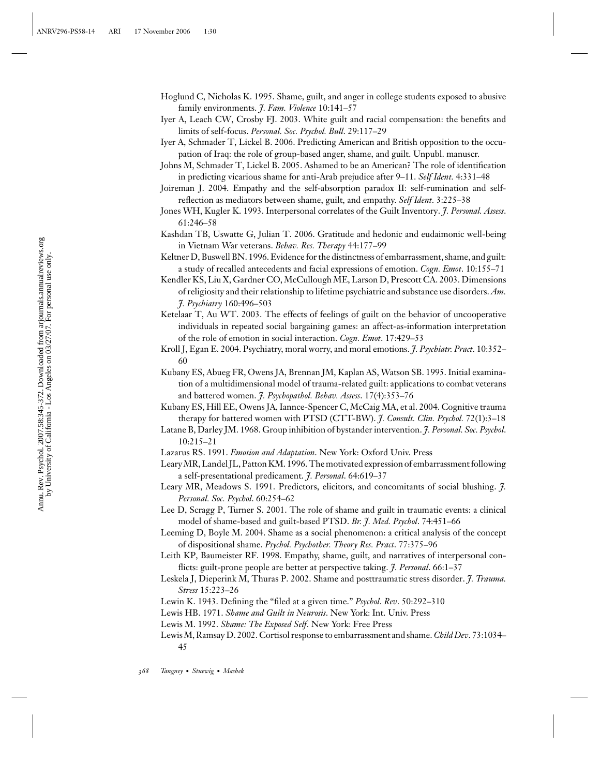- Hoglund C, Nicholas K. 1995. Shame, guilt, and anger in college students exposed to abusive family environments. *J. Fam. Violence* 10:141–57
- Iyer A, Leach CW, Crosby FJ. 2003. White guilt and racial compensation: the benefits and limits of self-focus. *Personal. Soc. Psychol. Bull*. 29:117–29
- Iyer A, Schmader T, Lickel B. 2006. Predicting American and British opposition to the occupation of Iraq: the role of group-based anger, shame, and guilt. Unpubl. manuscr.
- Johns M, Schmader T, Lickel B. 2005. Ashamed to be an American? The role of identification in predicting vicarious shame for anti-Arab prejudice after 9–11. *Self Ident.* 4:331–48
- Joireman J. 2004. Empathy and the self-absorption paradox II: self-rumination and selfreflection as mediators between shame, guilt, and empathy. *Self Ident*. 3:225–38
- Jones WH, Kugler K. 1993. Interpersonal correlates of the Guilt Inventory. *J. Personal. Assess*. 61:246–58
- Kashdan TB, Uswatte G, Julian T. 2006. Gratitude and hedonic and eudaimonic well-being in Vietnam War veterans. *Behav. Res. Therapy* 44:177–99
- Keltner D, Buswell BN. 1996. Evidence for the distinctness of embarrassment, shame, and guilt: a study of recalled antecedents and facial expressions of emotion. *Cogn. Emot*. 10:155–71
- Kendler KS, Liu X, Gardner CO, McCullough ME, Larson D, Prescott CA. 2003. Dimensions of religiosity and their relationship to lifetime psychiatric and substance use disorders. *Am. J. Psychiatry* 160:496–503
- Ketelaar T, Au WT. 2003. The effects of feelings of guilt on the behavior of uncooperative individuals in repeated social bargaining games: an affect-as-information interpretation of the role of emotion in social interaction. *Cogn. Emot*. 17:429–53
- Kroll J, Egan E. 2004. Psychiatry, moral worry, and moral emotions. *J. Psychiatr. Pract*. 10:352– 60
- Kubany ES, Abueg FR, Owens JA, Brennan JM, Kaplan AS, Watson SB. 1995. Initial examination of a multidimensional model of trauma-related guilt: applications to combat veterans and battered women. *J. Psychopathol. Behav. Assess*. 17(4):353–76
- Kubany ES, Hill EE, Owens JA, Iannce-Spencer C, McCaig MA, et al. 2004. Cognitive trauma therapy for battered women with PTSD (CTT-BW). *J. Consult. Clin. Psychol.* 72(1):3–18
- Latane B, Darley JM. 1968. Group inhibition of bystander intervention. *J. Personal. Soc. Psychol*. 10:215–21

Lazarus RS. 1991. *Emotion and Adaptation*. New York: Oxford Univ. Press

- LearyMR, Landel JL, Patton KM. 1996. The motivated expression of embarrassment following a self-presentational predicament. *J. Personal*. 64:619–37
- Leary MR, Meadows S. 1991. Predictors, elicitors, and concomitants of social blushing. *J. Personal. Soc. Psychol*. 60:254–62
- Lee D, Scragg P, Turner S. 2001. The role of shame and guilt in traumatic events: a clinical model of shame-based and guilt-based PTSD. *Br. J. Med. Psychol*. 74:451–66
- Leeming D, Boyle M. 2004. Shame as a social phenomenon: a critical analysis of the concept of dispositional shame. *Psychol. Psychother. Theory Res. Pract*. 77:375–96
- Leith KP, Baumeister RF. 1998. Empathy, shame, guilt, and narratives of interpersonal conflicts: guilt-prone people are better at perspective taking. *J. Personal*. 66:1–37
- Leskela J, Dieperink M, Thuras P. 2002. Shame and posttraumatic stress disorder. *J. Trauma. Stress* 15:223–26
- Lewin K. 1943. Defining the "filed at a given time." *Psychol*. *Rev*. 50:292–310
- Lewis HB. 1971. *Shame and Guilt in Neurosis*. New York: Int. Univ. Press
- Lewis M. 1992. *Shame: The Exposed Self*. New York: Free Press
- LewisM, Ramsay D. 2002. Cortisol response to embarrassment and shame.*Child Dev*. 73:1034– 45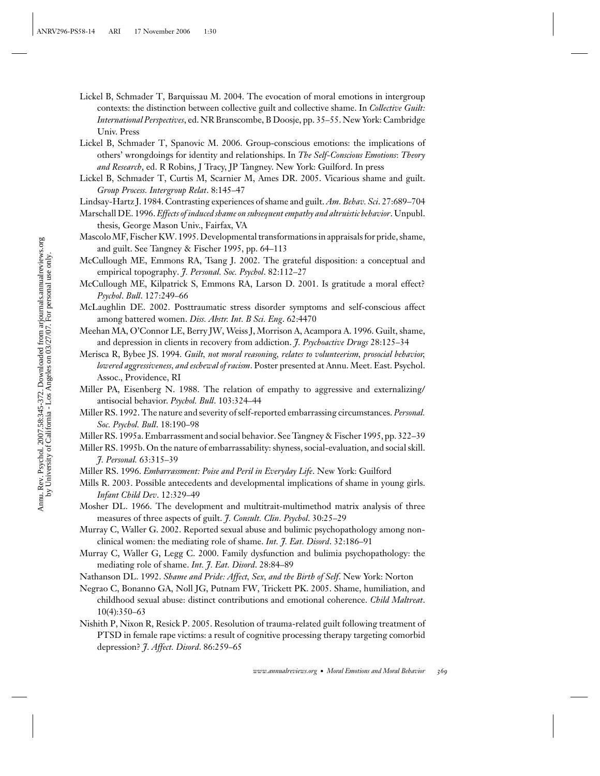- Lickel B, Schmader T, Barquissau M. 2004. The evocation of moral emotions in intergroup contexts: the distinction between collective guilt and collective shame. In *Collective Guilt: International Perspectives*, ed. NR Branscombe, B Doosje, pp. 35–55. New York: Cambridge Univ. Press
- Lickel B, Schmader T, Spanovic M. 2006. Group-conscious emotions: the implications of others' wrongdoings for identity and relationships. In *The Self-Conscious Emotions*: *Theory and Research*, ed. R Robins, J Tracy, JP Tangney. New York: Guilford. In press
- Lickel B, Schmader T, Curtis M, Scarnier M, Ames DR. 2005. Vicarious shame and guilt. *Group Process. Intergroup Relat*. 8:145–47
- Lindsay-Hartz J. 1984. Contrasting experiences of shame and guilt. *Am. Behav. Sci*. 27:689–704
- Marschall DE. 1996. *Effects of induced shame on subsequent empathy and altruistic behavior*. Unpubl. thesis, George Mason Univ., Fairfax, VA
- MascoloMF, Fischer KW. 1995. Developmental transformations in appraisals for pride, shame, and guilt. See Tangney & Fischer 1995, pp. 64–113
- McCullough ME, Emmons RA, Tsang J. 2002. The grateful disposition: a conceptual and empirical topography. *J. Personal. Soc. Psychol*. 82:112–27
- McCullough ME, Kilpatrick S, Emmons RA, Larson D. 2001. Is gratitude a moral effect? *Psychol*. *Bull*. 127:249–66
- McLaughlin DE. 2002. Posttraumatic stress disorder symptoms and self-conscious affect among battered women. *Diss. Abstr. Int. B Sci. Eng*. 62:4470
- Meehan MA, O'Connor LE, Berry JW, Weiss J, Morrison A, Acampora A. 1996. Guilt, shame, and depression in clients in recovery from addiction. *J. Psychoactive Drugs* 28:125–34
- Merisca R, Bybee JS. 1994. *Guilt, not moral reasoning, relates to volunteerism, prosocial behavior, lowered aggressiveness, and eschewal of racism*. Poster presented at Annu. Meet. East. Psychol. Assoc., Providence, RI
- Miller PA, Eisenberg N. 1988. The relation of empathy to aggressive and externalizing/ antisocial behavior. *Psychol. Bull*. 103:324–44
- Miller RS. 1992. The nature and severity of self-reported embarrassing circumstances. *Personal. Soc. Psychol. Bull*. 18:190–98
- Miller RS. 1995a. Embarrassment and social behavior. See Tangney & Fischer 1995, pp. 322–39
- Miller RS. 1995b. On the nature of embarrassability: shyness, social-evaluation, and social skill. *J. Personal.* 63:315–39
- Miller RS. 1996. *Embarrassment: Poise and Peril in Everyday Life*. New York: Guilford
- Mills R. 2003. Possible antecedents and developmental implications of shame in young girls. *Infant Child Dev*. 12:329–49
- Mosher DL. 1966. The development and multitrait-multimethod matrix analysis of three measures of three aspects of guilt. *J. Consult. Clin. Psychol*. 30:25–29
- Murray C, Waller G. 2002. Reported sexual abuse and bulimic psychopathology among nonclinical women: the mediating role of shame. *Int. J. Eat. Disord*. 32:186–91
- Murray C, Waller G, Legg C. 2000. Family dysfunction and bulimia psychopathology: the mediating role of shame. *Int. J. Eat. Disord*. 28:84–89
- Nathanson DL. 1992. *Shame and Pride: Affect, Sex, and the Birth of Self*. New York: Norton
- Negrao C, Bonanno GA, Noll JG, Putnam FW, Trickett PK. 2005. Shame, humiliation, and childhood sexual abuse: distinct contributions and emotional coherence. *Child Maltreat*. 10(4):350–63
- Nishith P, Nixon R, Resick P. 2005. Resolution of trauma-related guilt following treatment of PTSD in female rape victims: a result of cognitive processing therapy targeting comorbid depression? *J*. *Affect. Disord*. 86:259–65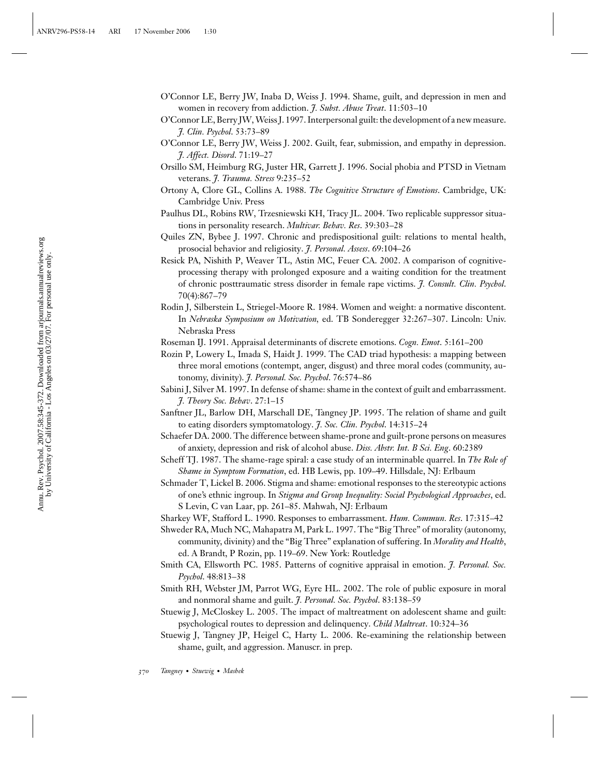- O'Connor LE, Berry JW, Inaba D, Weiss J. 1994. Shame, guilt, and depression in men and women in recovery from addiction. *J. Subst. Abuse Treat*. 11:503–10
- O'Connor LE, Berry JW,Weiss J. 1997. Interpersonal guilt: the development of a new measure. *J. Clin. Psychol*. 53:73–89
- O'Connor LE, Berry JW, Weiss J. 2002. Guilt, fear, submission, and empathy in depression. *J. Affect. Disord*. 71:19–27
- Orsillo SM, Heimburg RG, Juster HR, Garrett J. 1996. Social phobia and PTSD in Vietnam veterans. *J. Trauma. Stress* 9:235–52
- Ortony A, Clore GL, Collins A. 1988. *The Cognitive Structure of Emotions*. Cambridge, UK: Cambridge Univ. Press
- Paulhus DL, Robins RW, Trzesniewski KH, Tracy JL. 2004. Two replicable suppressor situations in personality research. *Multivar. Behav. Res*. 39:303–28
- Quiles ZN, Bybee J. 1997. Chronic and predispositional guilt: relations to mental health, prosocial behavior and religiosity. *J. Personal. Assess*. 69:104–26
- Resick PA, Nishith P, Weaver TL, Astin MC, Feuer CA. 2002. A comparison of cognitiveprocessing therapy with prolonged exposure and a waiting condition for the treatment of chronic posttraumatic stress disorder in female rape victims. *J. Consult. Clin. Psychol*. 70(4):867–79
- Rodin J, Silberstein L, Striegel-Moore R. 1984. Women and weight: a normative discontent. In *Nebraska Symposium on Motivation,* ed. TB Sonderegger 32:267–307. Lincoln: Univ. Nebraska Press
- Roseman IJ. 1991. Appraisal determinants of discrete emotions. *Cogn. Emot*. 5:161–200
- Rozin P, Lowery L, Imada S, Haidt J. 1999. The CAD triad hypothesis: a mapping between three moral emotions (contempt, anger, disgust) and three moral codes (community, autonomy, divinity). *J. Personal. Soc. Psychol*. 76:574–86
- Sabini J, Silver M. 1997. In defense of shame: shame in the context of guilt and embarrassment. *J. Theory Soc. Behav*. 27:1–15
- Sanftner JL, Barlow DH, Marschall DE, Tangney JP. 1995. The relation of shame and guilt to eating disorders symptomatology. *J. Soc. Clin. Psychol*. 14:315–24
- Schaefer DA. 2000. The difference between shame-prone and guilt-prone persons on measures of anxiety, depression and risk of alcohol abuse. *Diss. Abstr. Int. B Sci. Eng*. 60:2389
- Scheff TJ. 1987. The shame-rage spiral: a case study of an interminable quarrel. In *The Role of Shame in Symptom Formation*, ed. HB Lewis, pp. 109–49. Hillsdale, NJ: Erlbaum
- Schmader T, Lickel B. 2006. Stigma and shame: emotional responses to the stereotypic actions of one's ethnic ingroup. In *Stigma and Group Inequality: Social Psychological Approaches*, ed. S Levin, C van Laar, pp. 261–85. Mahwah, NJ: Erlbaum

Sharkey WF, Stafford L. 1990. Responses to embarrassment. *Hum. Commun. Res*. 17:315–42

- Shweder RA, Much NC, Mahapatra M, Park L. 1997. The "Big Three" of morality (autonomy, community, divinity) and the "Big Three" explanation of suffering. In *Morality and Health*, ed. A Brandt, P Rozin, pp. 119–69. New York: Routledge
- Smith CA, Ellsworth PC. 1985. Patterns of cognitive appraisal in emotion. *J. Personal. Soc. Psychol*. 48:813–38
- Smith RH, Webster JM, Parrot WG, Eyre HL. 2002. The role of public exposure in moral and nonmoral shame and guilt. *J. Personal. Soc. Psychol*. 83:138–59
- Stuewig J, McCloskey L. 2005. The impact of maltreatment on adolescent shame and guilt: psychological routes to depression and delinquency. *Child Maltreat*. 10:324–36
- Stuewig J, Tangney JP, Heigel C, Harty L. 2006. Re-examining the relationship between shame, guilt, and aggression. Manuscr. in prep.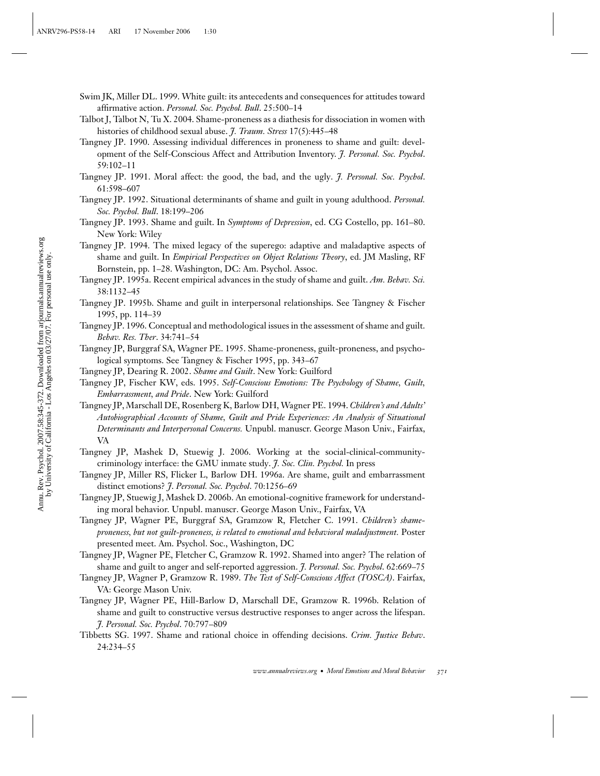- Swim JK, Miller DL. 1999. White guilt: its antecedents and consequences for attitudes toward affirmative action. *Personal. Soc. Psychol. Bull*. 25:500–14
- Talbot J, Talbot N, Tu X. 2004. Shame-proneness as a diathesis for dissociation in women with histories of childhood sexual abuse. *J. Traum. Stress* 17(5):445–48
- Tangney JP. 1990. Assessing individual differences in proneness to shame and guilt: development of the Self-Conscious Affect and Attribution Inventory. *J. Personal. Soc. Psychol*. 59:102–11
- Tangney JP. 1991. Moral affect: the good, the bad, and the ugly. *J. Personal. Soc. Psychol*. 61:598–607
- Tangney JP. 1992. Situational determinants of shame and guilt in young adulthood. *Personal. Soc. Psychol. Bull*. 18:199–206
- Tangney JP. 1993. Shame and guilt. In *Symptoms of Depression*, ed. CG Costello, pp. 161–80. New York: Wiley
- Tangney JP. 1994. The mixed legacy of the superego: adaptive and maladaptive aspects of shame and guilt. In *Empirical Perspectives on Object Relations Theory*, ed. JM Masling, RF Bornstein, pp. 1–28. Washington, DC: Am. Psychol. Assoc.
- Tangney JP. 1995a. Recent empirical advances in the study of shame and guilt. *Am. Behav. Sci.* 38:1132–45
- Tangney JP. 1995b. Shame and guilt in interpersonal relationships. See Tangney & Fischer 1995, pp. 114–39
- Tangney JP. 1996. Conceptual and methodological issues in the assessment of shame and guilt. *Behav. Res. Ther*. 34:741–54
- Tangney JP, Burggraf SA, Wagner PE. 1995. Shame-proneness, guilt-proneness, and psychological symptoms. See Tangney & Fischer 1995, pp. 343–67
- Tangney JP, Dearing R. 2002. *Shame and Guilt*. New York: Guilford
- Tangney JP, Fischer KW, eds. 1995. *Self-Conscious Emotions: The Psychology of Shame, Guilt, Embarrassment, and Pride*. New York: Guilford
- Tangney JP, Marschall DE, Rosenberg K, Barlow DH, Wagner PE. 1994. *Children's and Adults' Autobiographical Accounts of Shame, Guilt and Pride Experiences: An Analysis of Situational Determinants and Interpersonal Concerns.* Unpubl. manuscr. George Mason Univ., Fairfax, VA
- Tangney JP, Mashek D, Stuewig J. 2006. Working at the social-clinical-communitycriminology interface: the GMU inmate study. *J. Soc. Clin. Psychol.* In press
- Tangney JP, Miller RS, Flicker L, Barlow DH. 1996a. Are shame, guilt and embarrassment distinct emotions? *J*. *Personal. Soc. Psychol*. 70:1256–69
- Tangney JP, Stuewig J, Mashek D. 2006b. An emotional-cognitive framework for understanding moral behavior. Unpubl. manuscr. George Mason Univ., Fairfax, VA
- Tangney JP, Wagner PE, Burggraf SA, Gramzow R, Fletcher C. 1991. *Children's shameproneness, but not guilt-proneness, is related to emotional and behavioral maladjustment.* Poster presented meet. Am. Psychol. Soc., Washington, DC
- Tangney JP, Wagner PE, Fletcher C, Gramzow R. 1992. Shamed into anger? The relation of shame and guilt to anger and self-reported aggression. *J. Personal. Soc. Psychol*. 62:669–75
- Tangney JP, Wagner P, Gramzow R. 1989. *The Test of Self-Conscious Affect (TOSCA)*. Fairfax, VA: George Mason Univ.
- Tangney JP, Wagner PE, Hill-Barlow D, Marschall DE, Gramzow R. 1996b. Relation of shame and guilt to constructive versus destructive responses to anger across the lifespan. *J. Personal. Soc. Psychol*. 70:797–809
- Tibbetts SG. 1997. Shame and rational choice in offending decisions. *Crim. Justice Behav*. 24:234–55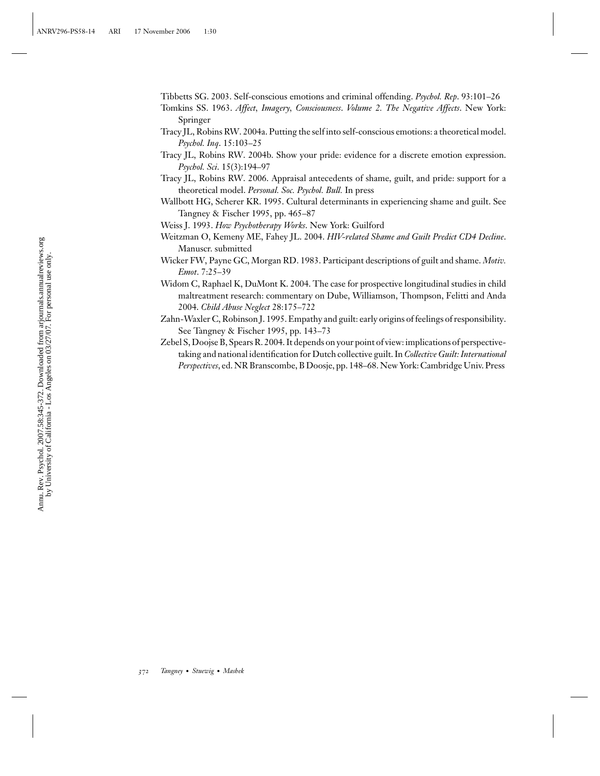Tibbetts SG. 2003. Self-conscious emotions and criminal offending. *Psychol. Rep*. 93:101–26

- Tomkins SS. 1963. *Affect, Imagery, Consciousness*. *Volume 2. The Negative Affects*. New York: Springer
- Tracy JL, Robins RW. 2004a. Putting the self into self-conscious emotions: a theoretical model. *Psychol. Inq*. 15:103–25
- Tracy JL, Robins RW. 2004b. Show your pride: evidence for a discrete emotion expression. *Psychol. Sci*. 15(3):194–97
- Tracy JL, Robins RW. 2006. Appraisal antecedents of shame, guilt, and pride: support for a theoretical model. *Personal. Soc. Psychol. Bull.* In press
- Wallbott HG, Scherer KR. 1995. Cultural determinants in experiencing shame and guilt. See Tangney & Fischer 1995, pp. 465–87
- Weiss J. 1993. *How Psychotherapy Works*. New York: Guilford
- Weitzman O, Kemeny ME, Fahey JL. 2004. *HIV-related Shame and Guilt Predict CD4 Decline*. Manuscr. submitted
- Wicker FW, Payne GC, Morgan RD. 1983. Participant descriptions of guilt and shame. *Motiv. Emot*. 7:25–39
- Widom C, Raphael K, DuMont K. 2004. The case for prospective longitudinal studies in child maltreatment research: commentary on Dube, Williamson, Thompson, Felitti and Anda 2004. *Child Abuse Neglect* 28:175–722
- Zahn-Waxler C, Robinson J. 1995. Empathy and guilt: early origins of feelings of responsibility. See Tangney & Fischer 1995, pp. 143–73
- Zebel S, Doojse B, Spears R. 2004. It depends on your point of view: implications of perspectivetaking and national identification for Dutch collective guilt. In*Collective Guilt: International Perspectives*, ed. NR Branscombe, B Doosje, pp. 148–68. New York: Cambridge Univ. Press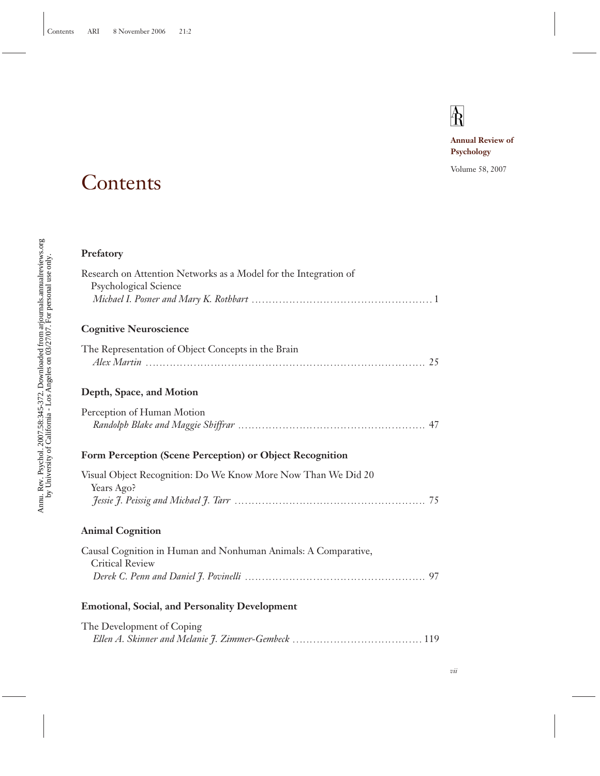

**Annual Review of Psychology**

Volume 58, 2007

## **Contents**

## **Prefatory**

| Research on Attention Networks as a Model for the Integration of |  |
|------------------------------------------------------------------|--|
| <b>Psychological Science</b>                                     |  |
|                                                                  |  |

## **Cognitive Neuroscience**

| The Representation of Object Concepts in the Brain |  |
|----------------------------------------------------|--|
|                                                    |  |

## **Depth, Space, and Motion**

| Perception of Human Motion |  |
|----------------------------|--|
|                            |  |

## **Form Perception (Scene Perception) or Object Recognition**

| Visual Object Recognition: Do We Know More Now Than We Did 20 |  |
|---------------------------------------------------------------|--|
| Years Ago?                                                    |  |
|                                                               |  |

## **Animal Cognition**

| Causal Cognition in Human and Nonhuman Animals: A Comparative, |  |
|----------------------------------------------------------------|--|
| Critical Review                                                |  |
|                                                                |  |

## **Emotional, Social, and Personality Development**

| The Development of Coping |  |
|---------------------------|--|
|                           |  |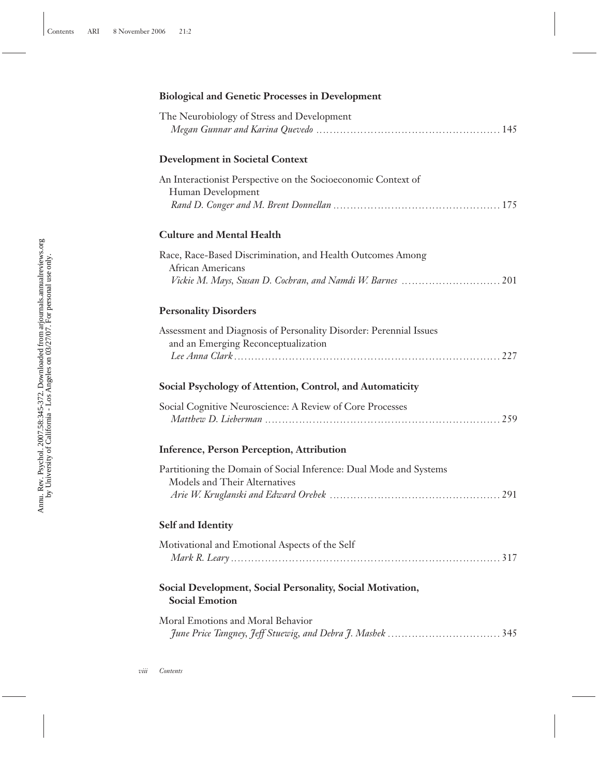## **Biological and Genetic Processes in Development**

| The Neurobiology of Stress and Development                                                                |
|-----------------------------------------------------------------------------------------------------------|
| <b>Development in Societal Context</b>                                                                    |
| An Interactionist Perspective on the Socioeconomic Context of<br>Human Development                        |
| <b>Culture and Mental Health</b>                                                                          |
| Race, Race-Based Discrimination, and Health Outcomes Among<br>African Americans                           |
| <b>Personality Disorders</b>                                                                              |
| Assessment and Diagnosis of Personality Disorder: Perennial Issues<br>and an Emerging Reconceptualization |
| Social Psychology of Attention, Control, and Automaticity                                                 |
| Social Cognitive Neuroscience: A Review of Core Processes                                                 |
| <b>Inference, Person Perception, Attribution</b>                                                          |
| Partitioning the Domain of Social Inference: Dual Mode and Systems<br>Models and Their Alternatives       |
| Self and Identity                                                                                         |
| Motivational and Emotional Aspects of the Self                                                            |
| Social Development, Social Personality, Social Motivation,<br><b>Social Emotion</b>                       |
| Moral Emotions and Moral Behavior                                                                         |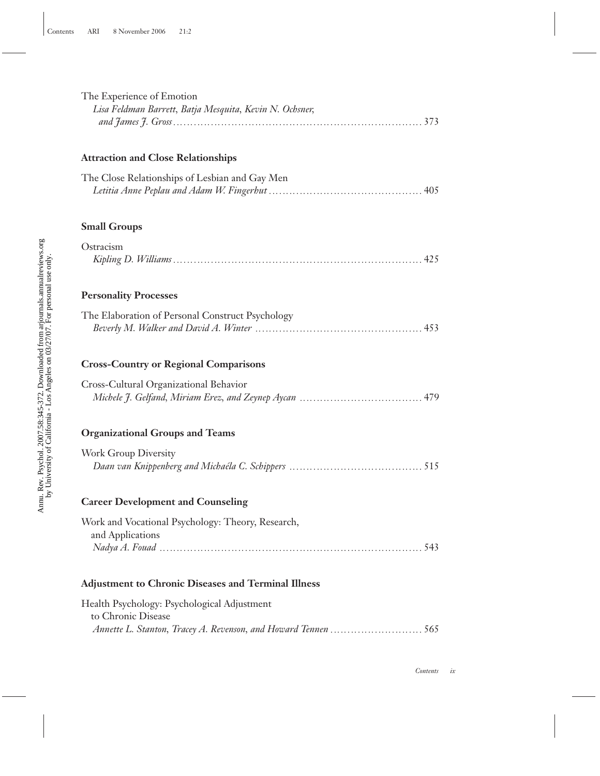| The Experience of Emotion<br>Lisa Feldman Barrett, Batja Mesquita, Kevin N. Ochsner, |
|--------------------------------------------------------------------------------------|
| <b>Attraction and Close Relationships</b>                                            |
| The Close Relationships of Lesbian and Gay Men                                       |
| <b>Small Groups</b>                                                                  |
| Ostracism                                                                            |
| <b>Personality Processes</b>                                                         |
| The Elaboration of Personal Construct Psychology                                     |
| <b>Cross-Country or Regional Comparisons</b>                                         |
| Cross-Cultural Organizational Behavior                                               |
| <b>Organizational Groups and Teams</b>                                               |
| <b>Work Group Diversity</b>                                                          |
| <b>Career Development and Counseling</b>                                             |
| Work and Vocational Psychology: Theory, Research,<br>and Applications                |
| <b>Adjustment to Chronic Diseases and Terminal Illness</b>                           |
| Health Psychology: Psychological Adjustment<br>to Chronic Disease                    |